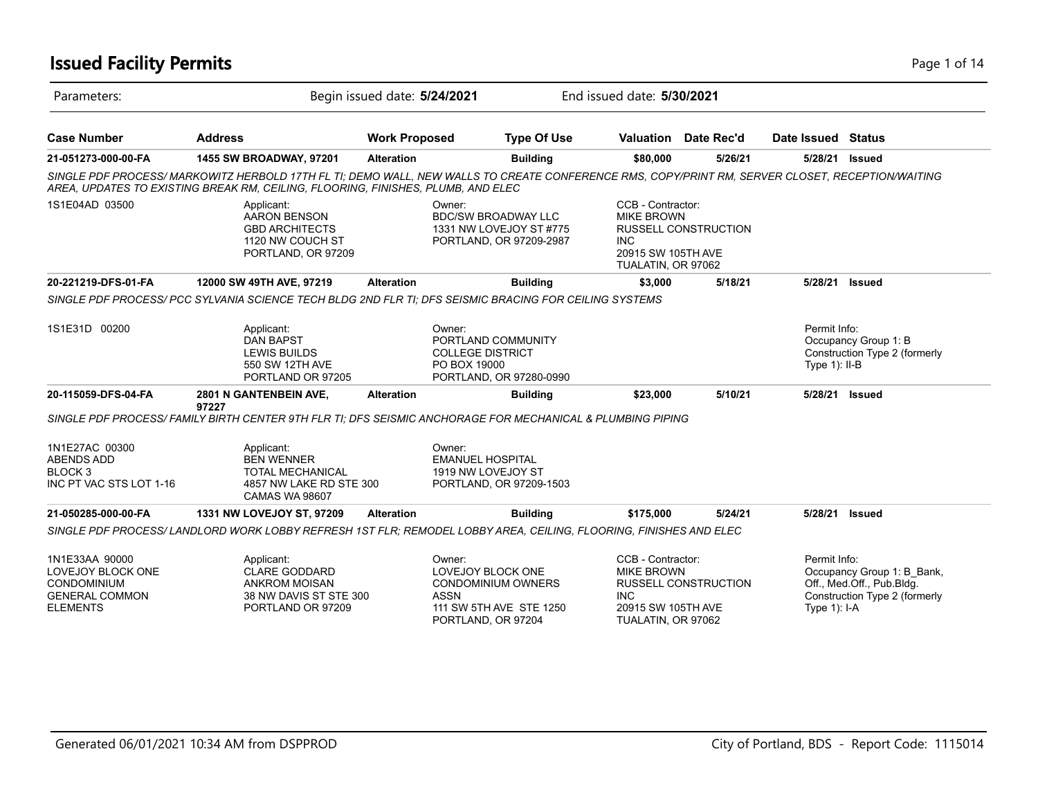## **Issued Facility Permits** Page 1 of 14

| Parameters:                                                                                    |                                                                                                                                                                                                                                     | Begin issued date: 5/24/2021 |                                                                                          | End issued date: <b>5/30/2021</b>                                                                                         |         |                                  |                                                                                          |
|------------------------------------------------------------------------------------------------|-------------------------------------------------------------------------------------------------------------------------------------------------------------------------------------------------------------------------------------|------------------------------|------------------------------------------------------------------------------------------|---------------------------------------------------------------------------------------------------------------------------|---------|----------------------------------|------------------------------------------------------------------------------------------|
| <b>Case Number</b>                                                                             | <b>Address</b>                                                                                                                                                                                                                      | <b>Work Proposed</b>         | <b>Type Of Use</b>                                                                       | <b>Valuation</b> Date Rec'd                                                                                               |         | Date Issued Status               |                                                                                          |
| 21-051273-000-00-FA                                                                            | 1455 SW BROADWAY, 97201                                                                                                                                                                                                             | <b>Alteration</b>            | <b>Building</b>                                                                          | \$80,000                                                                                                                  | 5/26/21 |                                  | 5/28/21 Issued                                                                           |
|                                                                                                | SINGLE PDF PROCESS/MARKOWITZ HERBOLD 17TH FL TI; DEMO WALL, NEW WALLS TO CREATE CONFERENCE RMS, COPY/PRINT RM, SERVER CLOSET, RECEPTION/WAITING<br>AREA, UPDATES TO EXISTING BREAK RM, CEILING, FLOORING, FINISHES, PLUMB, AND ELEC |                              |                                                                                          |                                                                                                                           |         |                                  |                                                                                          |
| 1S1E04AD 03500                                                                                 | Applicant:<br><b>AARON BENSON</b><br><b>GBD ARCHITECTS</b><br>1120 NW COUCH ST<br>PORTLAND, OR 97209                                                                                                                                | Owner:                       | <b>BDC/SW BROADWAY LLC</b><br>1331 NW LOVEJOY ST #775<br>PORTLAND, OR 97209-2987         | CCB - Contractor:<br><b>MIKE BROWN</b><br><b>RUSSELL CONSTRUCTION</b><br>INC.<br>20915 SW 105TH AVE<br>TUALATIN, OR 97062 |         |                                  |                                                                                          |
| 20-221219-DFS-01-FA                                                                            | 12000 SW 49TH AVE, 97219                                                                                                                                                                                                            | <b>Alteration</b>            | <b>Building</b>                                                                          | \$3,000                                                                                                                   | 5/18/21 |                                  | 5/28/21 Issued                                                                           |
|                                                                                                | SINGLE PDF PROCESS/ PCC SYLVANIA SCIENCE TECH BLDG 2ND FLR TI: DFS SEISMIC BRACING FOR CEILING SYSTEMS                                                                                                                              |                              |                                                                                          |                                                                                                                           |         |                                  |                                                                                          |
| 1S1E31D 00200                                                                                  | Applicant:<br><b>DAN BAPST</b><br><b>LEWIS BUILDS</b><br>550 SW 12TH AVE<br>PORTLAND OR 97205                                                                                                                                       | Owner:<br>PO BOX 19000       | PORTLAND COMMUNITY<br><b>COLLEGE DISTRICT</b><br>PORTLAND, OR 97280-0990                 |                                                                                                                           |         | Permit Info:<br>Type $1$ ): II-B | Occupancy Group 1: B<br>Construction Type 2 (formerly                                    |
| 20-115059-DFS-04-FA                                                                            | 2801 N GANTENBEIN AVE,<br>97227                                                                                                                                                                                                     | <b>Alteration</b>            | <b>Building</b>                                                                          | \$23,000                                                                                                                  | 5/10/21 |                                  | 5/28/21 Issued                                                                           |
|                                                                                                | SINGLE PDF PROCESS/ FAMILY BIRTH CENTER 9TH FLR TI; DFS SEISMIC ANCHORAGE FOR MECHANICAL & PLUMBING PIPING                                                                                                                          |                              |                                                                                          |                                                                                                                           |         |                                  |                                                                                          |
| 1N1E27AC 00300<br>ABENDS ADD<br>BLOCK <sub>3</sub><br>INC PT VAC STS LOT 1-16                  | Applicant:<br><b>BEN WENNER</b><br><b>TOTAL MECHANICAL</b><br>4857 NW LAKE RD STE 300<br>CAMAS WA 98607                                                                                                                             | Owner:                       | <b>EMANUEL HOSPITAL</b><br>1919 NW LOVEJOY ST<br>PORTLAND, OR 97209-1503                 |                                                                                                                           |         |                                  |                                                                                          |
| 21-050285-000-00-FA                                                                            | 1331 NW LOVEJOY ST, 97209                                                                                                                                                                                                           | <b>Alteration</b>            | <b>Building</b>                                                                          | \$175,000                                                                                                                 | 5/24/21 |                                  | 5/28/21 Issued                                                                           |
|                                                                                                | SINGLE PDF PROCESS/ LANDLORD WORK LOBBY REFRESH 1ST FLR: REMODEL LOBBY AREA, CEILING, FLOORING, FINISHES AND ELEC                                                                                                                   |                              |                                                                                          |                                                                                                                           |         |                                  |                                                                                          |
| 1N1E33AA 90000<br>LOVEJOY BLOCK ONE<br>CONDOMINIUM<br><b>GENERAL COMMON</b><br><b>ELEMENTS</b> | Applicant:<br><b>CLARE GODDARD</b><br><b>ANKROM MOISAN</b><br>38 NW DAVIS ST STE 300<br>PORTLAND OR 97209                                                                                                                           | Owner:<br><b>ASSN</b>        | LOVEJOY BLOCK ONE<br>CONDOMINIUM OWNERS<br>111 SW 5TH AVE STE 1250<br>PORTLAND, OR 97204 | CCB - Contractor:<br><b>MIKE BROWN</b><br>RUSSELL CONSTRUCTION<br><b>INC</b><br>20915 SW 105TH AVE<br>TUALATIN, OR 97062  |         | Permit Info:<br>Type $1$ : I-A   | Occupancy Group 1: B_Bank,<br>Off., Med.Off., Pub.Bldg.<br>Construction Type 2 (formerly |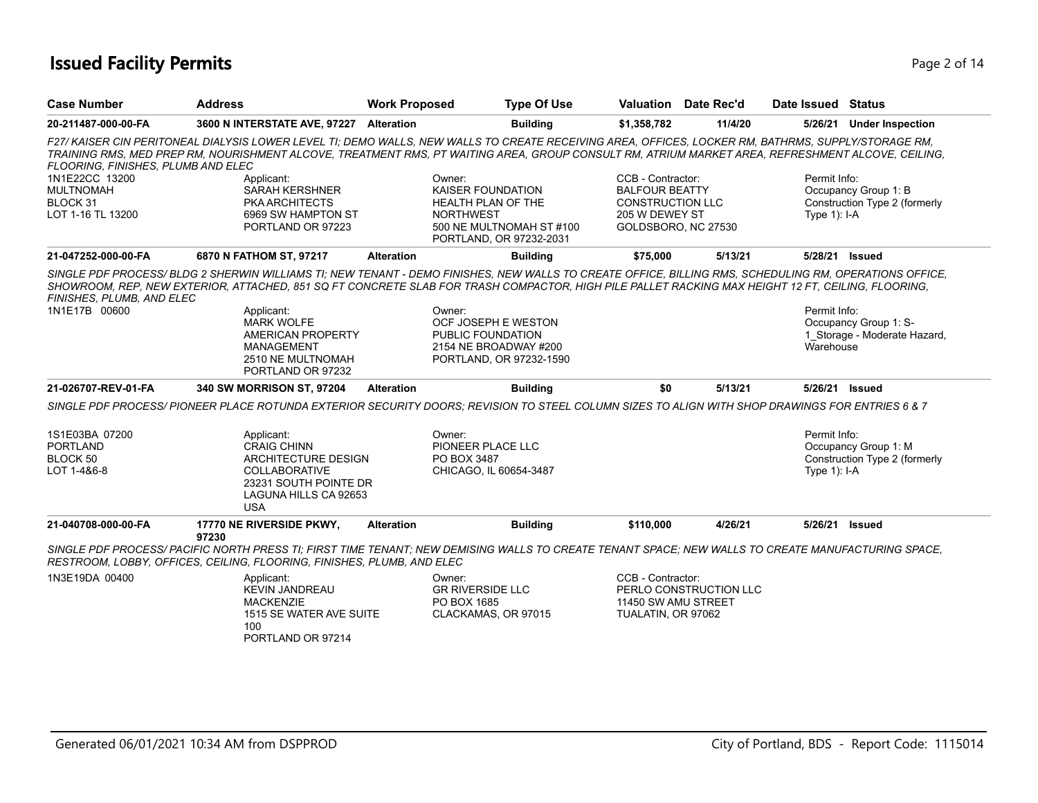# **Issued Facility Permits** Page 2 of 14

| <b>Case Number</b>                                                  | <b>Address</b>                                                                                                                                                                                                                                                                                                                                                                                                              | <b>Work Proposed</b> |                                                                                                         | <b>Type Of Use</b>       | <b>Valuation</b> Date Rec'd                                                                                    |         |         | Date Issued Status             |                                                       |
|---------------------------------------------------------------------|-----------------------------------------------------------------------------------------------------------------------------------------------------------------------------------------------------------------------------------------------------------------------------------------------------------------------------------------------------------------------------------------------------------------------------|----------------------|---------------------------------------------------------------------------------------------------------|--------------------------|----------------------------------------------------------------------------------------------------------------|---------|---------|--------------------------------|-------------------------------------------------------|
| 20-211487-000-00-FA                                                 | 3600 N INTERSTATE AVE, 97227                                                                                                                                                                                                                                                                                                                                                                                                | <b>Alteration</b>    |                                                                                                         | <b>Building</b>          | \$1,358,782                                                                                                    | 11/4/20 |         | 5/26/21                        | <b>Under Inspection</b>                               |
| FLOORING, FINISHES, PLUMB AND ELEC                                  | F27/KAISER CIN PERITONEAL DIALYSIS LOWER LEVEL TI; DEMO WALLS, NEW WALLS TO CREATE RECEIVING AREA, OFFICES, LOCKER RM, BATHRMS, SUPPLY/STORAGE RM,<br>TRAINING RMS, MED PREP RM, NOURISHMENT ALCOVE, TREATMENT RMS, PT WAITING AREA, GROUP CONSULT RM, ATRIUM MARKET AREA, REFRESHMENT ALCOVE, CEILING,                                                                                                                     |                      |                                                                                                         |                          |                                                                                                                |         |         |                                |                                                       |
| 1N1E22CC 13200<br><b>MULTNOMAH</b><br>BLOCK 31<br>LOT 1-16 TL 13200 | Applicant:<br><b>SARAH KERSHNER</b><br><b>PKA ARCHITECTS</b><br>6969 SW HAMPTON ST<br>PORTLAND OR 97223                                                                                                                                                                                                                                                                                                                     |                      | Owner:<br>KAISER FOUNDATION<br><b>HEALTH PLAN OF THE</b><br><b>NORTHWEST</b><br>PORTLAND, OR 97232-2031 | 500 NE MULTNOMAH ST #100 | CCB - Contractor:<br><b>BALFOUR BEATTY</b><br><b>CONSTRUCTION LLC</b><br>205 W DEWEY ST<br>GOLDSBORO, NC 27530 |         |         | Permit Info:<br>Type $1$ : I-A | Occupancy Group 1: B<br>Construction Type 2 (formerly |
| 21-047252-000-00-FA                                                 | 6870 N FATHOM ST, 97217                                                                                                                                                                                                                                                                                                                                                                                                     | <b>Alteration</b>    |                                                                                                         | <b>Building</b>          | \$75,000                                                                                                       | 5/13/21 |         | 5/28/21 Issued                 |                                                       |
| FINISHES, PLUMB, AND ELEC<br>1N1E17B 00600                          | SINGLE PDF PROCESS/ BLDG 2 SHERWIN WILLIAMS TI; NEW TENANT - DEMO FINISHES, NEW WALLS TO CREATE OFFICE, BILLING RMS, SCHEDULING RM, OPERATIONS OFFICE,<br>SHOWROOM, REP, NEW EXTERIOR, ATTACHED, 851 SQ FT CONCRETE SLAB FOR TRASH COMPACTOR, HIGH PILE PALLET RACKING MAX HEIGHT 12 FT, CEILING, FLOORING,<br>Applicant:<br><b>MARK WOLFE</b><br>AMERICAN PROPERTY<br>MANAGEMENT<br>2510 NE MULTNOMAH<br>PORTLAND OR 97232 |                      | Owner:<br>OCF JOSEPH E WESTON<br>PUBLIC FOUNDATION<br>2154 NE BROADWAY #200<br>PORTLAND, OR 97232-1590  |                          |                                                                                                                |         |         | Permit Info:<br>Warehouse      | Occupancy Group 1: S-<br>1_Storage - Moderate Hazard, |
| 21-026707-REV-01-FA                                                 | 340 SW MORRISON ST, 97204                                                                                                                                                                                                                                                                                                                                                                                                   | <b>Alteration</b>    |                                                                                                         | <b>Building</b>          | \$0                                                                                                            |         | 5/13/21 | 5/26/21 <b>Issued</b>          |                                                       |
|                                                                     | SINGLE PDF PROCESS/ PIONEER PLACE ROTUNDA EXTERIOR SECURITY DOORS: REVISION TO STEEL COLUMN SIZES TO ALIGN WITH SHOP DRAWINGS FOR ENTRIES 6 & 7                                                                                                                                                                                                                                                                             |                      |                                                                                                         |                          |                                                                                                                |         |         |                                |                                                       |
| 1S1E03BA 07200<br><b>PORTLAND</b><br>BLOCK 50<br>LOT 1-4&6-8        | Applicant:<br><b>CRAIG CHINN</b><br>ARCHITECTURE DESIGN<br>COLLABORATIVE<br>23231 SOUTH POINTE DR<br>LAGUNA HILLS CA 92653<br><b>USA</b>                                                                                                                                                                                                                                                                                    |                      | Owner:<br>PIONEER PLACE LLC<br>PO BOX 3487<br>CHICAGO, IL 60654-3487                                    |                          |                                                                                                                |         |         | Permit Info:<br>Type $1$ : I-A | Occupancy Group 1: M<br>Construction Type 2 (formerly |
| 21-040708-000-00-FA                                                 | 17770 NE RIVERSIDE PKWY,<br>97230                                                                                                                                                                                                                                                                                                                                                                                           | <b>Alteration</b>    |                                                                                                         | <b>Building</b>          | \$110,000                                                                                                      | 4/26/21 |         | 5/26/21 <b>Issued</b>          |                                                       |
|                                                                     | SINGLE PDF PROCESS/PACIFIC NORTH PRESS TI; FIRST TIME TENANT; NEW DEMISING WALLS TO CREATE TENANT SPACE; NEW WALLS TO CREATE MANUFACTURING SPACE,<br>RESTROOM, LOBBY, OFFICES, CEILING, FLOORING, FINISHES, PLUMB, AND ELEC                                                                                                                                                                                                 |                      |                                                                                                         |                          |                                                                                                                |         |         |                                |                                                       |
| 1N3E19DA 00400                                                      | Applicant:<br><b>KEVIN JANDREAU</b><br><b>MACKENZIE</b><br>1515 SE WATER AVE SUITE<br>100<br>PORTLAND OR 97214                                                                                                                                                                                                                                                                                                              |                      | Owner:<br><b>GR RIVERSIDE LLC</b><br>PO BOX 1685<br>CLACKAMAS, OR 97015                                 |                          | CCB - Contractor:<br>PERLO CONSTRUCTION LLC<br>11450 SW AMU STREET<br>TUALATIN, OR 97062                       |         |         |                                |                                                       |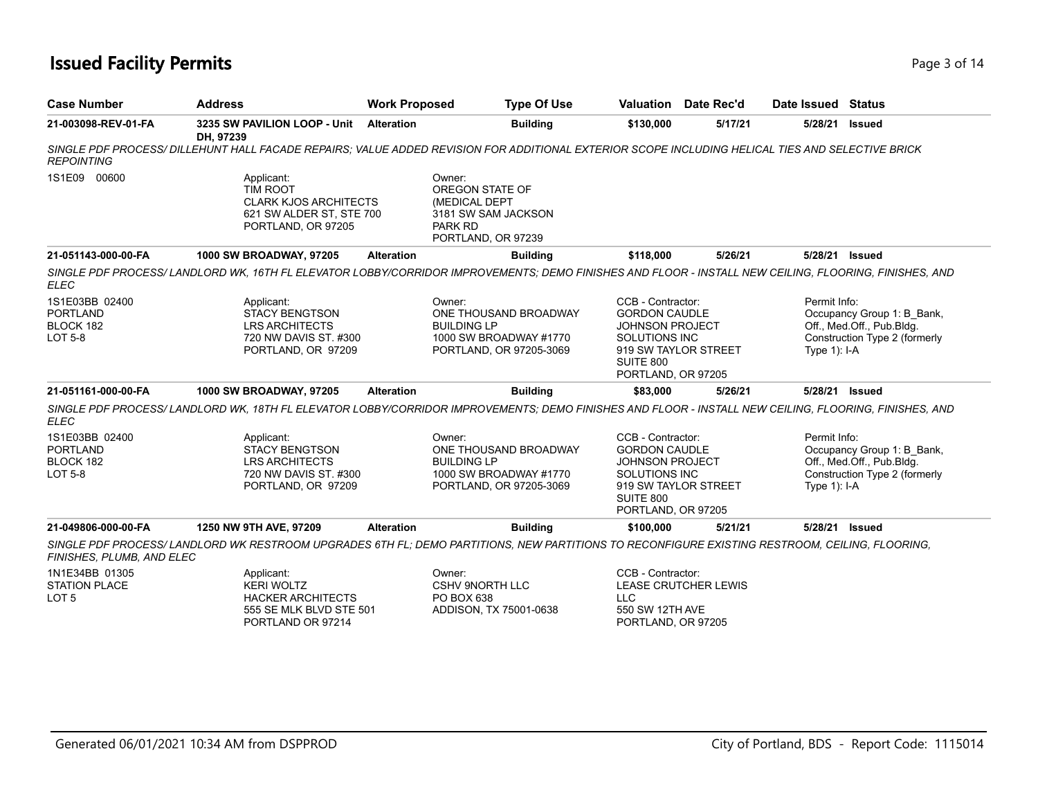## **Issued Facility Permits** Page 1 of 14

| <b>Case Number</b>                                               | <b>Address</b>                                                                                                                                        | <b>Work Proposed</b> |                                                                                                           | <b>Type Of Use</b>                                                         |                                                                                                                                       | Valuation Date Rec'd        | Date Issued Status             |                                                                                          |
|------------------------------------------------------------------|-------------------------------------------------------------------------------------------------------------------------------------------------------|----------------------|-----------------------------------------------------------------------------------------------------------|----------------------------------------------------------------------------|---------------------------------------------------------------------------------------------------------------------------------------|-----------------------------|--------------------------------|------------------------------------------------------------------------------------------|
| 21-003098-REV-01-FA                                              | 3235 SW PAVILION LOOP - Unit<br>DH, 97239                                                                                                             | <b>Alteration</b>    |                                                                                                           | <b>Building</b>                                                            | \$130,000                                                                                                                             | 5/17/21                     | 5/28/21                        | <b>Issued</b>                                                                            |
| <b>REPOINTING</b>                                                | SINGLE PDF PROCESS/ DILLEHUNT HALL FACADE REPAIRS; VALUE ADDED REVISION FOR ADDITIONAL EXTERIOR SCOPE INCLUDING HELICAL TIES AND SELECTIVE BRICK      |                      |                                                                                                           |                                                                            |                                                                                                                                       |                             |                                |                                                                                          |
| 1S1E09 00600                                                     | Applicant:<br><b>TIM ROOT</b><br><b>CLARK KJOS ARCHITECTS</b><br>621 SW ALDER ST, STE 700<br>PORTLAND, OR 97205                                       |                      | Owner:<br>OREGON STATE OF<br>(MEDICAL DEPT<br>3181 SW SAM JACKSON<br><b>PARK RD</b><br>PORTLAND, OR 97239 |                                                                            |                                                                                                                                       |                             |                                |                                                                                          |
| 21-051143-000-00-FA                                              | 1000 SW BROADWAY, 97205                                                                                                                               | <b>Alteration</b>    |                                                                                                           | <b>Building</b>                                                            | \$118,000                                                                                                                             | 5/26/21                     | 5/28/21 Issued                 |                                                                                          |
| <b>ELEC</b>                                                      | SINGLE PDF PROCESS/ LANDLORD WK, 16TH FL ELEVATOR LOBBY/CORRIDOR IMPROVEMENTS; DEMO FINISHES AND FLOOR - INSTALL NEW CEILING, FLOORING, FINISHES, AND |                      |                                                                                                           |                                                                            |                                                                                                                                       |                             |                                |                                                                                          |
| 1S1E03BB 02400<br><b>PORTLAND</b><br>BLOCK 182<br><b>LOT 5-8</b> | Applicant:<br><b>STACY BENGTSON</b><br><b>LRS ARCHITECTS</b><br>720 NW DAVIS ST. #300<br>PORTLAND, OR 97209                                           |                      | Owner:<br><b>BUILDING LP</b>                                                                              | ONE THOUSAND BROADWAY<br>1000 SW BROADWAY #1770<br>PORTLAND, OR 97205-3069 | CCB - Contractor:<br><b>GORDON CAUDLE</b><br><b>JOHNSON PROJECT</b><br><b>SOLUTIONS INC</b><br>SUITE 800<br>PORTLAND, OR 97205        | 919 SW TAYLOR STREET        | Permit Info:<br>Type $1$ : I-A | Occupancy Group 1: B_Bank,<br>Off., Med.Off., Pub.Bldg.<br>Construction Type 2 (formerly |
| 21-051161-000-00-FA                                              | <b>1000 SW BROADWAY, 97205</b>                                                                                                                        | <b>Alteration</b>    |                                                                                                           | <b>Building</b>                                                            | \$83,000                                                                                                                              | 5/26/21                     |                                | 5/28/21 Issued                                                                           |
| <b>ELEC</b>                                                      | SINGLE PDF PROCESS/ LANDLORD WK, 18TH FL ELEVATOR LOBBY/CORRIDOR IMPROVEMENTS; DEMO FINISHES AND FLOOR - INSTALL NEW CEILING, FLOORING, FINISHES, AND |                      |                                                                                                           |                                                                            |                                                                                                                                       |                             |                                |                                                                                          |
| 1S1E03BB 02400<br><b>PORTLAND</b><br>BLOCK 182<br><b>LOT 5-8</b> | Applicant:<br><b>STACY BENGTSON</b><br><b>LRS ARCHITECTS</b><br>720 NW DAVIS ST. #300<br>PORTLAND, OR 97209                                           |                      | Owner:<br><b>BUILDING LP</b>                                                                              | ONE THOUSAND BROADWAY<br>1000 SW BROADWAY #1770<br>PORTLAND, OR 97205-3069 | CCB - Contractor:<br><b>GORDON CAUDLE</b><br><b>JOHNSON PROJECT</b><br><b>SOLUTIONS INC</b><br><b>SUITE 800</b><br>PORTLAND, OR 97205 | 919 SW TAYLOR STREET        | Permit Info:<br>Type $1$ : I-A | Occupancy Group 1: B_Bank,<br>Off., Med.Off., Pub.Bldg.<br>Construction Type 2 (formerly |
| 21-049806-000-00-FA                                              | 1250 NW 9TH AVE, 97209                                                                                                                                | <b>Alteration</b>    |                                                                                                           | <b>Building</b>                                                            | \$100,000                                                                                                                             | 5/21/21                     |                                | 5/28/21 Issued                                                                           |
| FINISHES, PLUMB, AND ELEC                                        | SINGLE PDF PROCESS/ LANDLORD WK RESTROOM UPGRADES 6TH FL; DEMO PARTITIONS, NEW PARTITIONS TO RECONFIGURE EXISTING RESTROOM, CEILING, FLOORING,        |                      |                                                                                                           |                                                                            |                                                                                                                                       |                             |                                |                                                                                          |
| 1N1E34BB 01305<br>STATION PLACE<br>LOT <sub>5</sub>              | Applicant:<br><b>KERI WOLTZ</b><br><b>HACKER ARCHITECTS</b><br>555 SE MLK BLVD STE 501<br>PORTLAND OR 97214                                           |                      | Owner:<br><b>CSHV 9NORTH LLC</b><br>PO BOX 638                                                            | ADDISON, TX 75001-0638                                                     | CCB - Contractor:<br><b>LLC</b><br>550 SW 12TH AVE<br>PORTLAND, OR 97205                                                              | <b>LEASE CRUTCHER LEWIS</b> |                                |                                                                                          |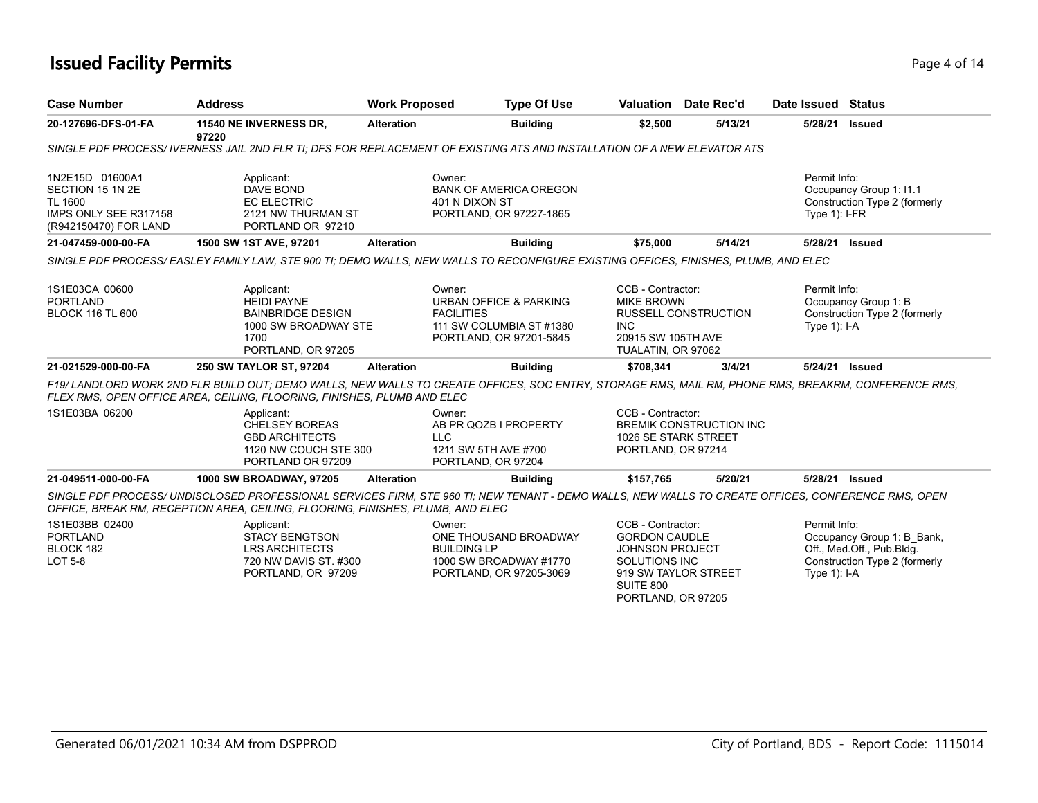## **Issued Facility Permits** Page 4 of 14

| <b>Case Number</b>                                                                                      | <b>Work Proposed</b><br><b>Address</b>                                                                             |                   | <b>Type Of Use</b>                                                                                                                                 |                                                                                                                                                        | Valuation Date Rec'd           | Date Issued Status              |                                                                                          |
|---------------------------------------------------------------------------------------------------------|--------------------------------------------------------------------------------------------------------------------|-------------------|----------------------------------------------------------------------------------------------------------------------------------------------------|--------------------------------------------------------------------------------------------------------------------------------------------------------|--------------------------------|---------------------------------|------------------------------------------------------------------------------------------|
| 20-127696-DFS-01-FA                                                                                     | 11540 NE INVERNESS DR,<br>97220                                                                                    | <b>Alteration</b> | <b>Building</b>                                                                                                                                    | \$2,500                                                                                                                                                | 5/13/21                        | 5/28/21                         | <b>Issued</b>                                                                            |
|                                                                                                         |                                                                                                                    |                   | SINGLE PDF PROCESS/IVERNESS JAIL 2ND FLR TI; DFS FOR REPLACEMENT OF EXISTING ATS AND INSTALLATION OF A NEW ELEVATOR ATS                            |                                                                                                                                                        |                                |                                 |                                                                                          |
| 1N2E15D 01600A1<br>SECTION 15 1N 2E<br><b>TL 1600</b><br>IMPS ONLY SEE R317158<br>(R942150470) FOR LAND | Applicant:<br><b>DAVE BOND</b><br><b>EC ELECTRIC</b><br>2121 NW THURMAN ST<br>PORTLAND OR 97210                    |                   | Owner:<br><b>BANK OF AMERICA OREGON</b><br>401 N DIXON ST<br>PORTLAND, OR 97227-1865                                                               |                                                                                                                                                        |                                | Permit Info:<br>Type $1$ : I-FR | Occupancy Group 1: I1.1<br>Construction Type 2 (formerly                                 |
| 21-047459-000-00-FA                                                                                     | 1500 SW 1ST AVE, 97201                                                                                             | <b>Alteration</b> | <b>Building</b>                                                                                                                                    | \$75,000                                                                                                                                               | 5/14/21                        | 5/28/21 Issued                  |                                                                                          |
|                                                                                                         |                                                                                                                    |                   | SINGLE PDF PROCESS/EASLEY FAMILY LAW, STE 900 TI; DEMO WALLS, NEW WALLS TO RECONFIGURE EXISTING OFFICES, FINISHES, PLUMB, AND ELEC                 |                                                                                                                                                        |                                |                                 |                                                                                          |
| 1S1E03CA 00600<br><b>PORTLAND</b><br><b>BLOCK 116 TL 600</b>                                            | Applicant:<br><b>HEIDI PAYNE</b><br><b>BAINBRIDGE DESIGN</b><br>1000 SW BROADWAY STE<br>1700<br>PORTLAND, OR 97205 |                   | Owner:<br><b>URBAN OFFICE &amp; PARKING</b><br><b>FACILITIES</b><br>111 SW COLUMBIA ST #1380<br>PORTLAND, OR 97201-5845                            | CCB - Contractor:<br><b>MIKE BROWN</b><br><b>INC</b><br>20915 SW 105TH AVE<br>TUALATIN, OR 97062                                                       | <b>RUSSELL CONSTRUCTION</b>    | Permit Info:<br>Type $1$ : I-A  | Occupancy Group 1: B<br>Construction Type 2 (formerly                                    |
| 21-021529-000-00-FA                                                                                     | 250 SW TAYLOR ST, 97204                                                                                            | <b>Alteration</b> | <b>Building</b>                                                                                                                                    | \$708,341                                                                                                                                              | 3/4/21                         | 5/24/21 Issued                  |                                                                                          |
|                                                                                                         | FLEX RMS, OPEN OFFICE AREA, CEILING, FLOORING, FINISHES, PLUMB AND ELEC                                            |                   | F19/LANDLORD WORK 2ND FLR BUILD OUT; DEMO WALLS, NEW WALLS TO CREATE OFFICES, SOC ENTRY, STORAGE RMS, MAIL RM, PHONE RMS, BREAKRM, CONFERENCE RMS, |                                                                                                                                                        |                                |                                 |                                                                                          |
| 1S1E03BA 06200                                                                                          | Applicant:<br><b>CHELSEY BOREAS</b><br><b>GBD ARCHITECTS</b><br>1120 NW COUCH STE 300<br>PORTLAND OR 97209         |                   | Owner:<br>AB PR QOZB I PROPERTY<br><b>LLC</b><br>1211 SW 5TH AVE #700<br>PORTLAND, OR 97204                                                        | CCB - Contractor:<br>1026 SE STARK STREET<br>PORTLAND, OR 97214                                                                                        | <b>BREMIK CONSTRUCTION INC</b> |                                 |                                                                                          |
| 21-049511-000-00-FA                                                                                     | 1000 SW BROADWAY, 97205                                                                                            | <b>Alteration</b> | <b>Building</b>                                                                                                                                    | \$157,765                                                                                                                                              | 5/20/21                        | 5/28/21 Issued                  |                                                                                          |
|                                                                                                         | OFFICE, BREAK RM, RECEPTION AREA, CEILING, FLOORING, FINISHES, PLUMB, AND ELEC                                     |                   | SINGLE PDF PROCESS/UNDISCLOSED PROFESSIONAL SERVICES FIRM, STE 960 TI; NEW TENANT - DEMO WALLS, NEW WALLS TO CREATE OFFICES, CONFERENCE RMS, OPEN  |                                                                                                                                                        |                                |                                 |                                                                                          |
| 1S1E03BB 02400<br><b>PORTLAND</b><br>BLOCK 182<br><b>LOT 5-8</b>                                        | Applicant:<br><b>STACY BENGTSON</b><br><b>LRS ARCHITECTS</b><br>720 NW DAVIS ST. #300<br>PORTLAND, OR 97209        |                   | Owner:<br>ONE THOUSAND BROADWAY<br><b>BUILDING LP</b><br>1000 SW BROADWAY #1770<br>PORTLAND, OR 97205-3069                                         | CCB - Contractor:<br><b>GORDON CAUDLE</b><br><b>JOHNSON PROJECT</b><br><b>SOLUTIONS INC</b><br>919 SW TAYLOR STREET<br>SUITE 800<br>PORTLAND, OR 97205 |                                | Permit Info:<br>Type $1$ : I-A  | Occupancy Group 1: B Bank,<br>Off., Med.Off., Pub.Bldg.<br>Construction Type 2 (formerly |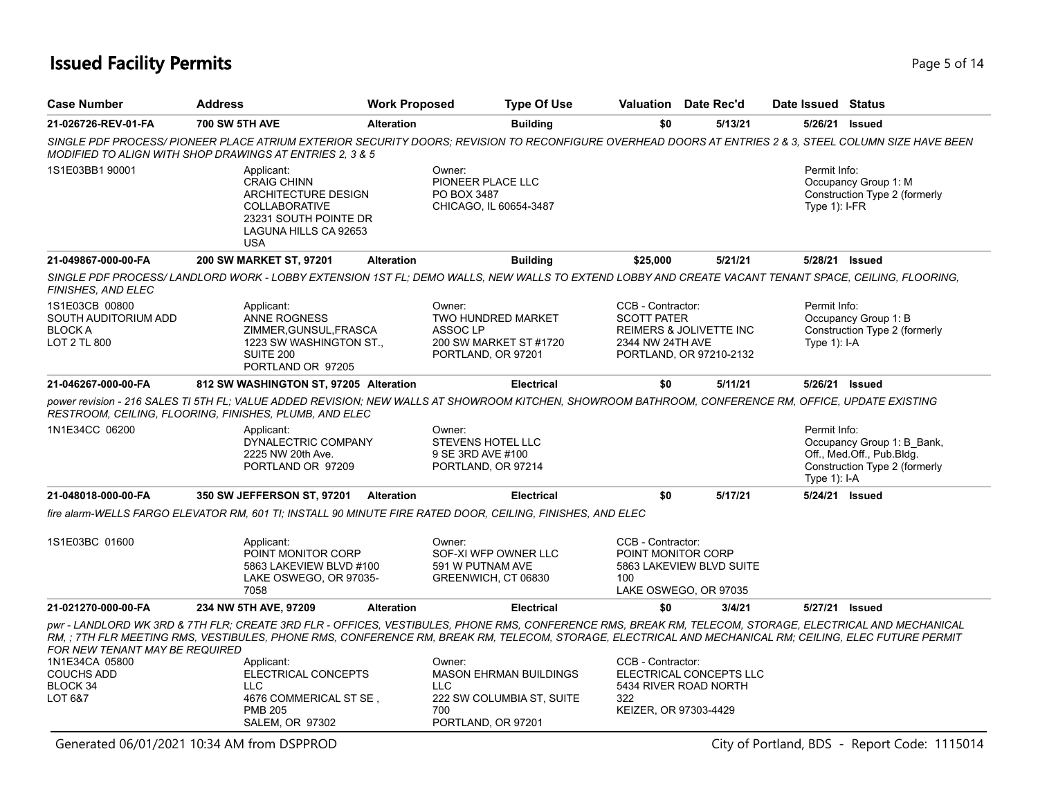## **Issued Facility Permits** Page 1 2 and 2 and 2 and 2 and 2 and 2 and 2 and 2 and 2 and 2 and 2 and 2 and 2 and 2 and 2 and 2 and 2 and 2 and 2 and 2 and 2 and 2 and 2 and 2 and 2 and 2 and 2 and 2 and 2 and 2 and 2 and 2 a

| <b>Case Number</b>                                                       | <b>Address</b>                                                                                                                                                                                                                                                                                                    | <b>Work Proposed</b> | <b>Type Of Use</b>                                                                                              | Valuation Date Rec'd                                                                                              |         | Date Issued Status              |                                                                                          |
|--------------------------------------------------------------------------|-------------------------------------------------------------------------------------------------------------------------------------------------------------------------------------------------------------------------------------------------------------------------------------------------------------------|----------------------|-----------------------------------------------------------------------------------------------------------------|-------------------------------------------------------------------------------------------------------------------|---------|---------------------------------|------------------------------------------------------------------------------------------|
| 21-026726-REV-01-FA                                                      | <b>700 SW 5TH AVE</b>                                                                                                                                                                                                                                                                                             | <b>Alteration</b>    | <b>Building</b>                                                                                                 | \$0                                                                                                               | 5/13/21 |                                 | 5/26/21 Issued                                                                           |
|                                                                          | SINGLE PDF PROCESS/ PIONEER PLACE ATRIUM EXTERIOR SECURITY DOORS; REVISION TO RECONFIGURE OVERHEAD DOORS AT ENTRIES 2 & 3, STEEL COLUMN SIZE HAVE BEEN<br>MODIFIED TO ALIGN WITH SHOP DRAWINGS AT ENTRIES 2, 3 & 5                                                                                                |                      |                                                                                                                 |                                                                                                                   |         |                                 |                                                                                          |
| 1S1E03BB1 90001                                                          | Applicant:<br><b>CRAIG CHINN</b><br>ARCHITECTURE DESIGN<br><b>COLLABORATIVE</b><br>23231 SOUTH POINTE DR<br>LAGUNA HILLS CA 92653<br><b>USA</b>                                                                                                                                                                   |                      | Owner:<br>PIONEER PLACE LLC<br>PO BOX 3487<br>CHICAGO, IL 60654-3487                                            |                                                                                                                   |         | Permit Info:<br>Type $1$ : I-FR | Occupancy Group 1: M<br>Construction Type 2 (formerly                                    |
| 21-049867-000-00-FA                                                      | 200 SW MARKET ST, 97201                                                                                                                                                                                                                                                                                           | <b>Alteration</b>    | <b>Building</b>                                                                                                 | \$25,000                                                                                                          | 5/21/21 |                                 | 5/28/21 Issued                                                                           |
| FINISHES, AND ELEC                                                       | SINGLE PDF PROCESS/LANDLORD WORK - LOBBY EXTENSION 1ST FL; DEMO WALLS, NEW WALLS TO EXTEND LOBBY AND CREATE VACANT TENANT SPACE, CEILING, FLOORING,                                                                                                                                                               |                      |                                                                                                                 |                                                                                                                   |         |                                 |                                                                                          |
| 1S1E03CB 00800<br>SOUTH AUDITORIUM ADD<br><b>BLOCK A</b><br>LOT 2 TL 800 | Applicant:<br>ANNE ROGNESS<br>ZIMMER, GUNSUL, FRASCA<br>1223 SW WASHINGTON ST.,<br>SUITE 200<br>PORTLAND OR 97205                                                                                                                                                                                                 |                      | Owner:<br>TWO HUNDRED MARKET<br>ASSOC <sub>LP</sub><br>200 SW MARKET ST #1720<br>PORTLAND, OR 97201             | CCB - Contractor:<br><b>SCOTT PATER</b><br>REIMERS & JOLIVETTE INC<br>2344 NW 24TH AVE<br>PORTLAND, OR 97210-2132 |         | Permit Info:<br>Type $1$ : I-A  | Occupancy Group 1: B<br>Construction Type 2 (formerly                                    |
| 21-046267-000-00-FA                                                      | 812 SW WASHINGTON ST, 97205 Alteration                                                                                                                                                                                                                                                                            |                      | <b>Electrical</b>                                                                                               | \$0                                                                                                               | 5/11/21 |                                 | 5/26/21 <b>Issued</b>                                                                    |
|                                                                          | power revision - 216 SALES TI 5TH FL; VALUE ADDED REVISION; NEW WALLS AT SHOWROOM KITCHEN, SHOWROOM BATHROOM, CONFERENCE RM, OFFICE, UPDATE EXISTING<br>RESTROOM, CEILING, FLOORING, FINISHES, PLUMB, AND ELEC                                                                                                    |                      |                                                                                                                 |                                                                                                                   |         |                                 |                                                                                          |
| 1N1E34CC 06200                                                           | Applicant:<br>DYNALECTRIC COMPANY<br>2225 NW 20th Ave.<br>PORTLAND OR 97209                                                                                                                                                                                                                                       |                      | Owner:<br>STEVENS HOTEL LLC<br>9 SE 3RD AVE #100<br>PORTLAND, OR 97214                                          |                                                                                                                   |         | Permit Info:<br>Type $1$ ): I-A | Occupancy Group 1: B Bank,<br>Off., Med.Off., Pub.Bldg.<br>Construction Type 2 (formerly |
| 21-048018-000-00-FA                                                      | <b>350 SW JEFFERSON ST, 97201</b>                                                                                                                                                                                                                                                                                 | Alteration           | <b>Electrical</b>                                                                                               | \$0                                                                                                               | 5/17/21 |                                 | 5/24/21 Issued                                                                           |
|                                                                          | fire alarm-WELLS FARGO ELEVATOR RM, 601 TI; INSTALL 90 MINUTE FIRE RATED DOOR, CEILING, FINISHES, AND ELEC                                                                                                                                                                                                        |                      |                                                                                                                 |                                                                                                                   |         |                                 |                                                                                          |
| 1S1E03BC 01600                                                           | Applicant:<br>POINT MONITOR CORP<br>5863 LAKEVIEW BLVD #100<br>LAKE OSWEGO, OR 97035-<br>7058                                                                                                                                                                                                                     |                      | Owner:<br>SOF-XI WFP OWNER LLC<br>591 W PUTNAM AVE<br>GREENWICH, CT 06830                                       | CCB - Contractor:<br>POINT MONITOR CORP<br>5863 LAKEVIEW BLVD SUITE<br>100<br>LAKE OSWEGO, OR 97035               |         |                                 |                                                                                          |
| 21-021270-000-00-FA                                                      | 234 NW 5TH AVE, 97209                                                                                                                                                                                                                                                                                             | <b>Alteration</b>    | <b>Electrical</b>                                                                                               | \$0                                                                                                               | 3/4/21  |                                 | 5/27/21 Issued                                                                           |
| FOR NEW TENANT MAY BE REQUIRED                                           | pwr - LANDLORD WK 3RD & 7TH FLR; CREATE 3RD FLR - OFFICES, VESTIBULES, PHONE RMS, CONFERENCE RMS, BREAK RM, TELECOM, STORAGE, ELECTRICAL AND MECHANICAL<br>RM, ; 7TH FLR MEETING RMS, VESTIBULES, PHONE RMS, CONFERENCE RM, BREAK RM, TELECOM, STORAGE, ELECTRICAL AND MECHANICAL RM; CEILING, ELEC FUTURE PERMIT |                      |                                                                                                                 |                                                                                                                   |         |                                 |                                                                                          |
| 1N1E34CA 05800<br><b>COUCHS ADD</b><br>BLOCK 34<br>LOT 6&7               | Applicant:<br>ELECTRICAL CONCEPTS<br><b>LLC</b><br>4676 COMMERICAL ST SE,<br><b>PMB 205</b><br><b>SALEM, OR 97302</b>                                                                                                                                                                                             |                      | Owner:<br><b>MASON EHRMAN BUILDINGS</b><br><b>LLC</b><br>222 SW COLUMBIA ST, SUITE<br>700<br>PORTLAND, OR 97201 | CCB - Contractor:<br>ELECTRICAL CONCEPTS LLC<br>5434 RIVER ROAD NORTH<br>322<br>KEIZER, OR 97303-4429             |         |                                 |                                                                                          |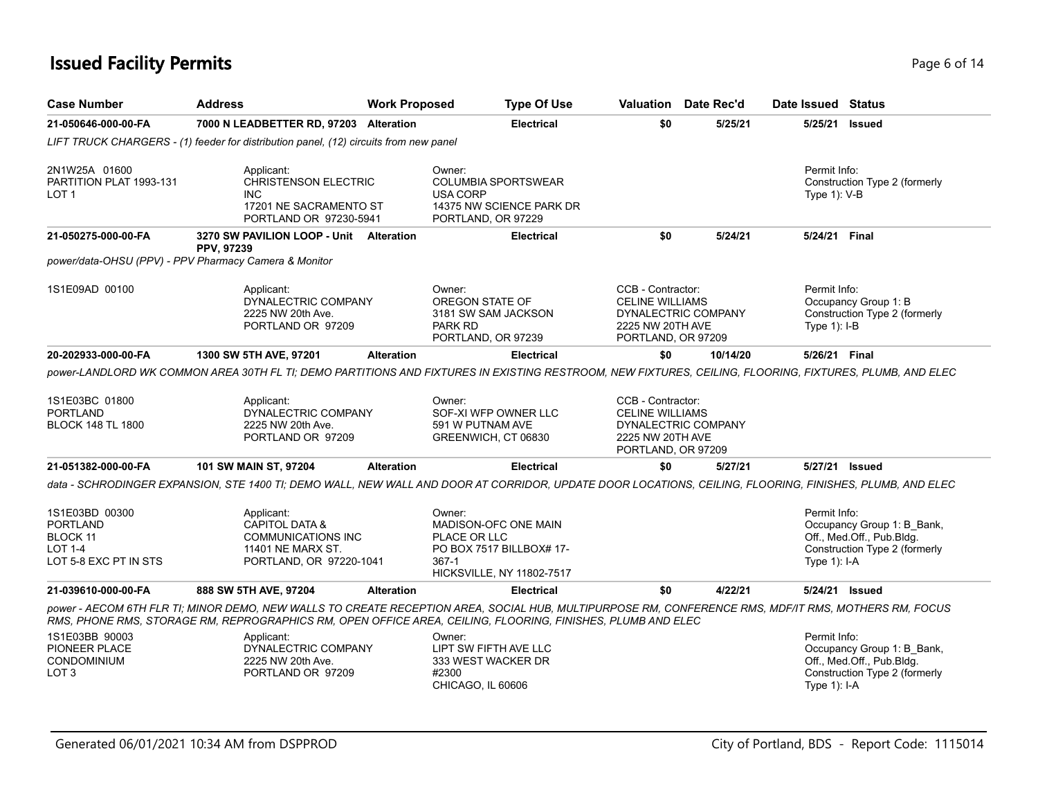## **Issued Facility Permits** Page 6 of 14

| <b>Case Number</b>                                                                              | <b>Address</b>                                                                                                       | <b>Work Proposed</b> | <b>Type Of Use</b>                                                                                                               |                                                                                       | <b>Valuation</b> Date Rec'd | Date Issued Status                                                                                                                                       |
|-------------------------------------------------------------------------------------------------|----------------------------------------------------------------------------------------------------------------------|----------------------|----------------------------------------------------------------------------------------------------------------------------------|---------------------------------------------------------------------------------------|-----------------------------|----------------------------------------------------------------------------------------------------------------------------------------------------------|
| 21-050646-000-00-FA                                                                             | 7000 N LEADBETTER RD, 97203 Alteration                                                                               |                      | <b>Electrical</b>                                                                                                                | \$0                                                                                   | 5/25/21                     | 5/25/21 Issued                                                                                                                                           |
|                                                                                                 | LIFT TRUCK CHARGERS - (1) feeder for distribution panel, (12) circuits from new panel                                |                      |                                                                                                                                  |                                                                                       |                             |                                                                                                                                                          |
| 2N1W25A 01600<br>PARTITION PLAT 1993-131<br>LOT 1                                               | Applicant:<br><b>CHRISTENSON ELECTRIC</b><br><b>INC</b><br>17201 NE SACRAMENTO ST<br>PORTLAND OR 97230-5941          |                      | Owner:<br><b>COLUMBIA SPORTSWEAR</b><br><b>USA CORP</b><br>14375 NW SCIENCE PARK DR<br>PORTLAND, OR 97229                        |                                                                                       |                             | Permit Info:<br>Construction Type 2 (formerly<br>Type 1): V-B                                                                                            |
| 21-050275-000-00-FA                                                                             | 3270 SW PAVILION LOOP - Unit Alteration<br>PPV, 97239                                                                |                      | <b>Electrical</b>                                                                                                                | \$0                                                                                   | 5/24/21                     | 5/24/21 Final                                                                                                                                            |
|                                                                                                 | power/data-OHSU (PPV) - PPV Pharmacy Camera & Monitor                                                                |                      |                                                                                                                                  |                                                                                       |                             |                                                                                                                                                          |
| 1S1E09AD 00100                                                                                  | Applicant:<br>DYNALECTRIC COMPANY<br>2225 NW 20th Ave.<br>PORTLAND OR 97209                                          |                      | Owner:<br>OREGON STATE OF<br>3181 SW SAM JACKSON<br>PARK RD<br>PORTLAND, OR 97239                                                | CCB - Contractor:<br><b>CELINE WILLIAMS</b><br>2225 NW 20TH AVE<br>PORTLAND, OR 97209 | DYNALECTRIC COMPANY         | Permit Info:<br>Occupancy Group 1: B<br>Construction Type 2 (formerly<br>Type $1$ : I-B                                                                  |
| 20-202933-000-00-FA                                                                             | 1300 SW 5TH AVE, 97201                                                                                               | <b>Alteration</b>    | <b>Electrical</b>                                                                                                                | \$0                                                                                   | 10/14/20                    | 5/26/21 Final                                                                                                                                            |
| 1S1E03BC 01800<br><b>PORTLAND</b><br><b>BLOCK 148 TL 1800</b>                                   | Applicant:<br>DYNALECTRIC COMPANY<br>2225 NW 20th Ave.<br>PORTLAND OR 97209                                          |                      | Owner:<br>SOF-XI WFP OWNER LLC<br>591 W PUTNAM AVE<br>GREENWICH, CT 06830                                                        | CCB - Contractor:<br><b>CELINE WILLIAMS</b><br>2225 NW 20TH AVE<br>PORTLAND, OR 97209 | DYNALECTRIC COMPANY         |                                                                                                                                                          |
| 21-051382-000-00-FA                                                                             | 101 SW MAIN ST, 97204                                                                                                | <b>Alteration</b>    | <b>Electrical</b>                                                                                                                | \$0                                                                                   | 5/27/21                     | 5/27/21 Issued                                                                                                                                           |
|                                                                                                 |                                                                                                                      |                      |                                                                                                                                  |                                                                                       |                             | data - SCHRODINGER EXPANSION, STE 1400 TI; DEMO WALL, NEW WALL AND DOOR AT CORRIDOR, UPDATE DOOR LOCATIONS, CEILING, FLOORING, FINISHES, PLUMB, AND ELEC |
| 1S1E03BD 00300<br><b>PORTLAND</b><br><b>BLOCK 11</b><br><b>LOT 1-4</b><br>LOT 5-8 EXC PT IN STS | Applicant:<br><b>CAPITOL DATA &amp;</b><br><b>COMMUNICATIONS INC</b><br>11401 NE MARX ST.<br>PORTLAND, OR 97220-1041 |                      | Owner:<br><b>MADISON-OFC ONE MAIN</b><br>PLACE OR LLC<br>PO BOX 7517 BILLBOX# 17-<br>$367-1$<br><b>HICKSVILLE, NY 11802-7517</b> |                                                                                       |                             | Permit Info:<br>Occupancy Group 1: B Bank,<br>Off., Med.Off., Pub.Bldg.<br>Construction Type 2 (formerly<br>Type $1$ : I-A                               |
| 21-039610-000-00-FA                                                                             | 888 SW 5TH AVE, 97204                                                                                                | <b>Alteration</b>    | <b>Electrical</b>                                                                                                                | \$0                                                                                   | 4/22/21                     | 5/24/21 Issued                                                                                                                                           |
|                                                                                                 | RMS, PHONE RMS, STORAGE RM, REPROGRAPHICS RM, OPEN OFFICE AREA, CEILING, FLOORING, FINISHES, PLUMB AND ELEC          |                      |                                                                                                                                  |                                                                                       |                             | DOWER - AECOM 6TH FLR TI; MINOR DEMO, NEW WALLS TO CREATE RECEPTION AREA, SOCIAL HUB, MULTIPURPOSE RM, CONFERENCE RMS, MDF/IT RMS, MOTHERS RM, FOCUS     |
| 1S1E03BB 90003<br>PIONEER PLACE<br><b>CONDOMINIUM</b><br>LOT <sub>3</sub>                       | Applicant:<br>DYNALECTRIC COMPANY<br>2225 NW 20th Ave.<br>PORTLAND OR 97209                                          |                      | Owner:<br>LIPT SW FIFTH AVE LLC<br>333 WEST WACKER DR<br>#2300<br>CHICAGO, IL 60606                                              |                                                                                       |                             | Permit Info:<br>Occupancy Group 1: B_Bank,<br>Off., Med.Off., Pub.Bldg.<br>Construction Type 2 (formerly<br>Type $1$ ): I-A                              |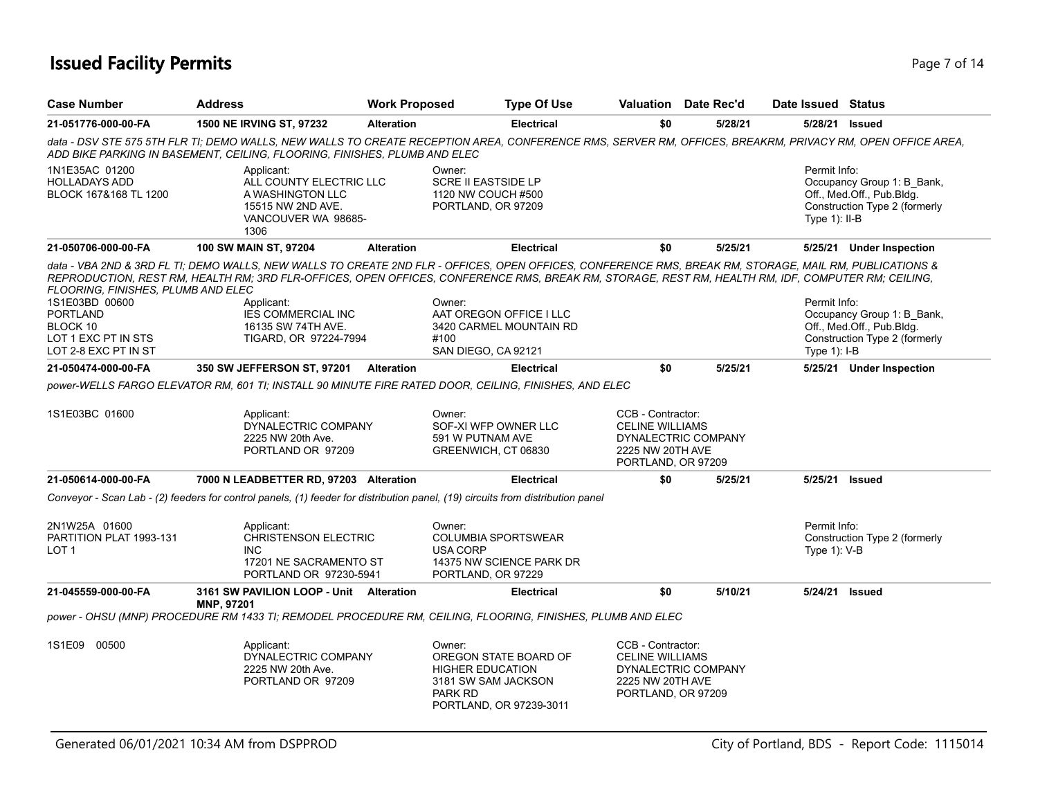## **Issued Facility Permits** Page 7 of 14

| <b>Case Number</b>                                                                                                                 | <b>Address</b>                                                                                                                                                                                                                                                                                                                                                                                          | <b>Work Proposed</b> |                                                                                                                         | <b>Type Of Use</b> |                                                                                       | Valuation Date Rec'd | Date Issued Status              |                                                                                          |
|------------------------------------------------------------------------------------------------------------------------------------|---------------------------------------------------------------------------------------------------------------------------------------------------------------------------------------------------------------------------------------------------------------------------------------------------------------------------------------------------------------------------------------------------------|----------------------|-------------------------------------------------------------------------------------------------------------------------|--------------------|---------------------------------------------------------------------------------------|----------------------|---------------------------------|------------------------------------------------------------------------------------------|
| 21-051776-000-00-FA                                                                                                                | 1500 NE IRVING ST, 97232                                                                                                                                                                                                                                                                                                                                                                                | <b>Alteration</b>    |                                                                                                                         | <b>Electrical</b>  | \$0                                                                                   | 5/28/21              |                                 | 5/28/21 Issued                                                                           |
|                                                                                                                                    | data - DSV STE 575 5TH FLR TI; DEMO WALLS, NEW WALLS TO CREATE RECEPTION AREA, CONFERENCE RMS, SERVER RM, OFFICES, BREAKRM, PRIVACY RM, OPEN OFFICE AREA,<br>ADD BIKE PARKING IN BASEMENT, CEILING, FLOORING, FINISHES, PLUMB AND ELEC                                                                                                                                                                  |                      |                                                                                                                         |                    |                                                                                       |                      |                                 |                                                                                          |
| 1N1E35AC 01200<br><b>HOLLADAYS ADD</b><br>BLOCK 167&168 TL 1200                                                                    | Applicant:<br>ALL COUNTY ELECTRIC LLC<br>A WASHINGTON LLC<br>15515 NW 2ND AVE.<br>VANCOUVER WA 98685-<br>1306                                                                                                                                                                                                                                                                                           |                      | Owner:<br><b>SCRE II EASTSIDE LP</b><br>1120 NW COUCH #500<br>PORTLAND, OR 97209                                        |                    |                                                                                       |                      | Permit Info:<br>Type $1$ : II-B | Occupancy Group 1: B Bank,<br>Off., Med.Off., Pub.Bldg.<br>Construction Type 2 (formerly |
| 21-050706-000-00-FA                                                                                                                | 100 SW MAIN ST, 97204                                                                                                                                                                                                                                                                                                                                                                                   | <b>Alteration</b>    |                                                                                                                         | <b>Electrical</b>  | \$0                                                                                   | 5/25/21              |                                 | 5/25/21 Under Inspection                                                                 |
| FLOORING, FINISHES, PLUMB AND ELEC<br>1S1E03BD 00600<br><b>PORTLAND</b><br>BLOCK 10<br>LOT 1 EXC PT IN STS<br>LOT 2-8 EXC PT IN ST | data - VBA 2ND & 3RD FL TI; DEMO WALLS, NEW WALLS TO CREATE 2ND FLR - OFFICES, OPEN OFFICES, CONFERENCE RMS, BREAK RM, STORAGE, MAIL RM, PUBLICATIONS &<br>REPRODUCTION, REST RM, HEALTH RM; 3RD FLR-OFFICES, OPEN OFFICES, CONFERENCE RMS, BREAK RM, STORAGE, REST RM, HEALTH RM, IDF, COMPUTER RM; CEILING,<br>Applicant:<br><b>IES COMMERCIAL INC</b><br>16135 SW 74TH AVE.<br>TIGARD, OR 97224-7994 |                      | Owner:<br>AAT OREGON OFFICE I LLC<br>3420 CARMEL MOUNTAIN RD<br>#100<br>SAN DIEGO, CA 92121                             |                    |                                                                                       |                      | Permit Info:<br>Type 1): I-B    | Occupancy Group 1: B_Bank,<br>Off., Med.Off., Pub.Bldg.<br>Construction Type 2 (formerly |
| 21-050474-000-00-FA                                                                                                                | 350 SW JEFFERSON ST, 97201                                                                                                                                                                                                                                                                                                                                                                              | Alteration           |                                                                                                                         | <b>Electrical</b>  | \$0                                                                                   | 5/25/21              |                                 | 5/25/21 Under Inspection                                                                 |
|                                                                                                                                    | power-WELLS FARGO ELEVATOR RM, 601 TI; INSTALL 90 MINUTE FIRE RATED DOOR, CEILING, FINISHES, AND ELEC                                                                                                                                                                                                                                                                                                   |                      |                                                                                                                         |                    |                                                                                       |                      |                                 |                                                                                          |
| 1S1E03BC 01600                                                                                                                     | Applicant:<br>DYNALECTRIC COMPANY<br>2225 NW 20th Ave.<br>PORTLAND OR 97209                                                                                                                                                                                                                                                                                                                             |                      | Owner:<br>SOF-XI WFP OWNER LLC<br>591 W PUTNAM AVE<br>GREENWICH, CT 06830                                               |                    | CCB - Contractor:<br><b>CELINE WILLIAMS</b><br>2225 NW 20TH AVE<br>PORTLAND, OR 97209 | DYNALECTRIC COMPANY  |                                 |                                                                                          |
| 21-050614-000-00-FA                                                                                                                | 7000 N LEADBETTER RD, 97203 Alteration                                                                                                                                                                                                                                                                                                                                                                  |                      |                                                                                                                         | <b>Electrical</b>  | \$0                                                                                   | 5/25/21              |                                 | 5/25/21 Issued                                                                           |
|                                                                                                                                    | Conveyor - Scan Lab - (2) feeders for control panels, (1) feeder for distribution panel, (19) circuits from distribution panel                                                                                                                                                                                                                                                                          |                      |                                                                                                                         |                    |                                                                                       |                      |                                 |                                                                                          |
| 2N1W25A 01600<br>PARTITION PLAT 1993-131<br>LOT 1                                                                                  | Applicant:<br><b>CHRISTENSON ELECTRIC</b><br>INC.<br>17201 NE SACRAMENTO ST<br>PORTLAND OR 97230-5941                                                                                                                                                                                                                                                                                                   |                      | Owner:<br><b>COLUMBIA SPORTSWEAR</b><br><b>USA CORP</b><br>14375 NW SCIENCE PARK DR<br>PORTLAND, OR 97229               |                    |                                                                                       |                      | Permit Info:<br>Type $1$ ): V-B | Construction Type 2 (formerly                                                            |
| 21-045559-000-00-FA                                                                                                                | 3161 SW PAVILION LOOP - Unit Alteration                                                                                                                                                                                                                                                                                                                                                                 |                      |                                                                                                                         | <b>Electrical</b>  | \$0                                                                                   | 5/10/21              | 5/24/21                         | <b>Issued</b>                                                                            |
|                                                                                                                                    | MNP, 97201<br>power - OHSU (MNP) PROCEDURE RM 1433 TI; REMODEL PROCEDURE RM, CEILING, FLOORING, FINISHES, PLUMB AND ELEC                                                                                                                                                                                                                                                                                |                      |                                                                                                                         |                    |                                                                                       |                      |                                 |                                                                                          |
| 1S1E09 00500                                                                                                                       | Applicant:<br>DYNALECTRIC COMPANY<br>2225 NW 20th Ave.<br>PORTLAND OR 97209                                                                                                                                                                                                                                                                                                                             |                      | Owner:<br>OREGON STATE BOARD OF<br><b>HIGHER EDUCATION</b><br>3181 SW SAM JACKSON<br>PARK RD<br>PORTLAND, OR 97239-3011 |                    | CCB - Contractor:<br><b>CELINE WILLIAMS</b><br>2225 NW 20TH AVE<br>PORTLAND, OR 97209 | DYNALECTRIC COMPANY  |                                 |                                                                                          |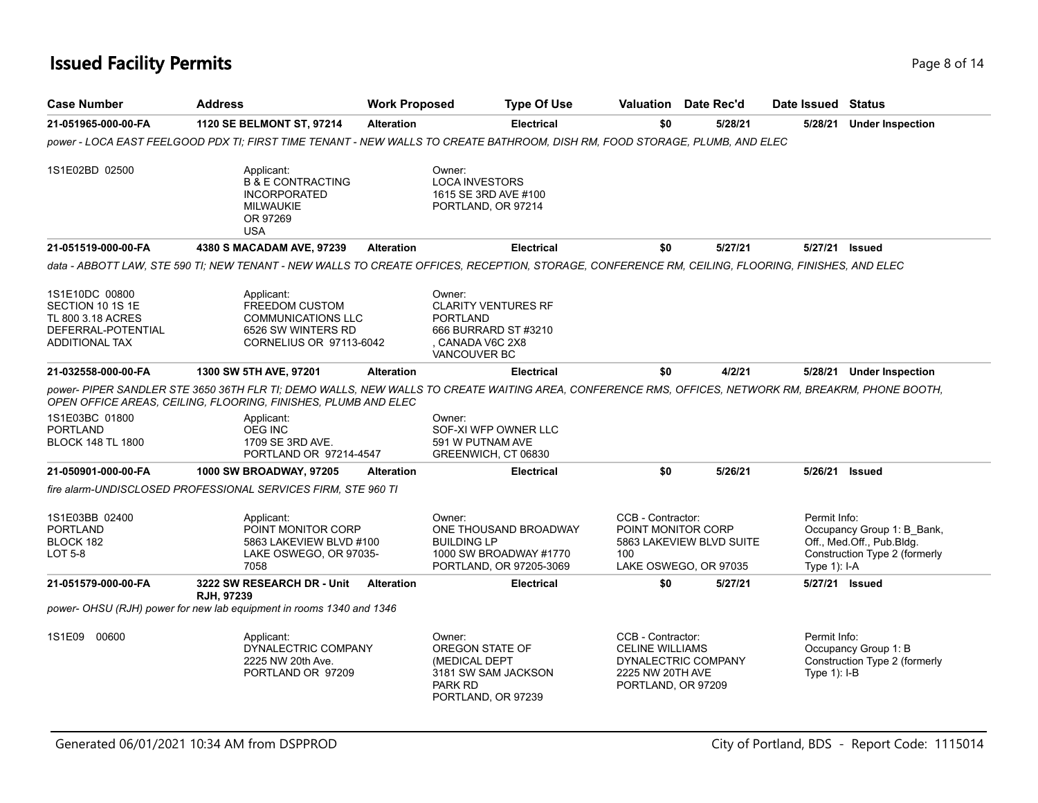## **Issued Facility Permits** Page 8 of 14

| <b>Case Number</b>                                                                                     | <b>Address</b>                                                                                                                                                                                                       | <b>Work Proposed</b> | <b>Type Of Use</b>                                                                                                       |                                                                                       | Valuation Date Rec'd                              | Date Issued                    | <b>Status</b>                                                                            |
|--------------------------------------------------------------------------------------------------------|----------------------------------------------------------------------------------------------------------------------------------------------------------------------------------------------------------------------|----------------------|--------------------------------------------------------------------------------------------------------------------------|---------------------------------------------------------------------------------------|---------------------------------------------------|--------------------------------|------------------------------------------------------------------------------------------|
| 21-051965-000-00-FA                                                                                    | <b>1120 SE BELMONT ST, 97214</b>                                                                                                                                                                                     | <b>Alteration</b>    | <b>Electrical</b>                                                                                                        | \$0                                                                                   | 5/28/21                                           | 5/28/21                        | <b>Under Inspection</b>                                                                  |
|                                                                                                        | power - LOCA EAST FEELGOOD PDX TI; FIRST TIME TENANT - NEW WALLS TO CREATE BATHROOM, DISH RM, FOOD STORAGE, PLUMB, AND ELEC                                                                                          |                      |                                                                                                                          |                                                                                       |                                                   |                                |                                                                                          |
| 1S1E02BD 02500                                                                                         | Applicant:<br><b>B &amp; E CONTRACTING</b><br><b>INCORPORATED</b><br><b>MILWAUKIE</b><br>OR 97269<br><b>USA</b>                                                                                                      |                      | Owner:<br><b>LOCA INVESTORS</b><br>1615 SE 3RD AVE #100<br>PORTLAND, OR 97214                                            |                                                                                       |                                                   |                                |                                                                                          |
| 21-051519-000-00-FA                                                                                    | 4380 S MACADAM AVE, 97239                                                                                                                                                                                            | <b>Alteration</b>    | <b>Electrical</b>                                                                                                        | \$0                                                                                   | 5/27/21                                           |                                | 5/27/21 <b>Issued</b>                                                                    |
|                                                                                                        | data - ABBOTT LAW, STE 590 TI; NEW TENANT - NEW WALLS TO CREATE OFFICES, RECEPTION, STORAGE, CONFERENCE RM, CEILING, FLOORING, FINISHES, AND ELEC                                                                    |                      |                                                                                                                          |                                                                                       |                                                   |                                |                                                                                          |
| 1S1E10DC 00800<br>SECTION 10 1S 1E<br>TL 800 3.18 ACRES<br>DEFERRAL-POTENTIAL<br><b>ADDITIONAL TAX</b> | Applicant:<br>FREEDOM CUSTOM<br><b>COMMUNICATIONS LLC</b><br>6526 SW WINTERS RD<br>CORNELIUS OR 97113-6042                                                                                                           |                      | Owner:<br><b>CLARITY VENTURES RF</b><br><b>PORTLAND</b><br>666 BURRARD ST #3210<br>CANADA V6C 2X8<br><b>VANCOUVER BC</b> |                                                                                       |                                                   |                                |                                                                                          |
| 21-032558-000-00-FA                                                                                    | 1300 SW 5TH AVE, 97201                                                                                                                                                                                               | <b>Alteration</b>    | <b>Electrical</b>                                                                                                        | \$0                                                                                   | 4/2/21                                            | 5/28/21                        | <b>Under Inspection</b>                                                                  |
|                                                                                                        | power-PIPER SANDLER STE 3650 36TH FLR TI; DEMO WALLS, NEW WALLS TO CREATE WAITING AREA, CONFERENCE RMS, OFFICES, NETWORK RM, BREAKRM, PHONE BOOTH,<br>OPEN OFFICE AREAS, CEILING, FLOORING, FINISHES, PLUMB AND ELEC |                      |                                                                                                                          |                                                                                       |                                                   |                                |                                                                                          |
| 1S1E03BC 01800<br><b>PORTLAND</b><br><b>BLOCK 148 TL 1800</b>                                          | Applicant:<br><b>OEG INC</b><br>1709 SE 3RD AVE.<br>PORTLAND OR 97214-4547                                                                                                                                           |                      | Owner:<br>SOF-XI WFP OWNER LLC<br>591 W PUTNAM AVE<br>GREENWICH, CT 06830                                                |                                                                                       |                                                   |                                |                                                                                          |
| 21-050901-000-00-FA                                                                                    | <b>1000 SW BROADWAY, 97205</b>                                                                                                                                                                                       | <b>Alteration</b>    | <b>Electrical</b>                                                                                                        | \$0                                                                                   | 5/26/21                                           | 5/26/21                        | <b>Issued</b>                                                                            |
|                                                                                                        | fire alarm-UNDISCLOSED PROFESSIONAL SERVICES FIRM, STE 960 TI                                                                                                                                                        |                      |                                                                                                                          |                                                                                       |                                                   |                                |                                                                                          |
| 1S1E03BB 02400<br><b>PORTLAND</b><br>BLOCK 182<br>LOT 5-8                                              | Applicant:<br>POINT MONITOR CORP<br>5863 LAKEVIEW BLVD #100<br>LAKE OSWEGO, OR 97035-<br>7058                                                                                                                        |                      | Owner:<br>ONE THOUSAND BROADWAY<br><b>BUILDING LP</b><br>1000 SW BROADWAY #1770<br>PORTLAND, OR 97205-3069               | CCB - Contractor:<br>POINT MONITOR CORP<br>100                                        | 5863 LAKEVIEW BLVD SUITE<br>LAKE OSWEGO, OR 97035 | Permit Info:<br>Type 1): I-A   | Occupancy Group 1: B_Bank,<br>Off., Med.Off., Pub.Bldg.<br>Construction Type 2 (formerly |
| 21-051579-000-00-FA                                                                                    | 3222 SW RESEARCH DR - Unit<br>RJH, 97239                                                                                                                                                                             | <b>Alteration</b>    | Electrical                                                                                                               | \$0                                                                                   | 5/27/21                                           |                                | 5/27/21 <b>Issued</b>                                                                    |
|                                                                                                        | power- OHSU (RJH) power for new lab equipment in rooms 1340 and 1346                                                                                                                                                 |                      |                                                                                                                          |                                                                                       |                                                   |                                |                                                                                          |
| 1S1E09 00600                                                                                           | Applicant:<br>DYNALECTRIC COMPANY<br>2225 NW 20th Ave.<br>PORTLAND OR 97209                                                                                                                                          |                      | Owner:<br>OREGON STATE OF<br>(MEDICAL DEPT<br>3181 SW SAM JACKSON<br>PARK RD<br>PORTLAND, OR 97239                       | CCB - Contractor:<br><b>CELINE WILLIAMS</b><br>2225 NW 20TH AVE<br>PORTLAND, OR 97209 | DYNALECTRIC COMPANY                               | Permit Info:<br>Type $1$ : I-B | Occupancy Group 1: B<br>Construction Type 2 (formerly                                    |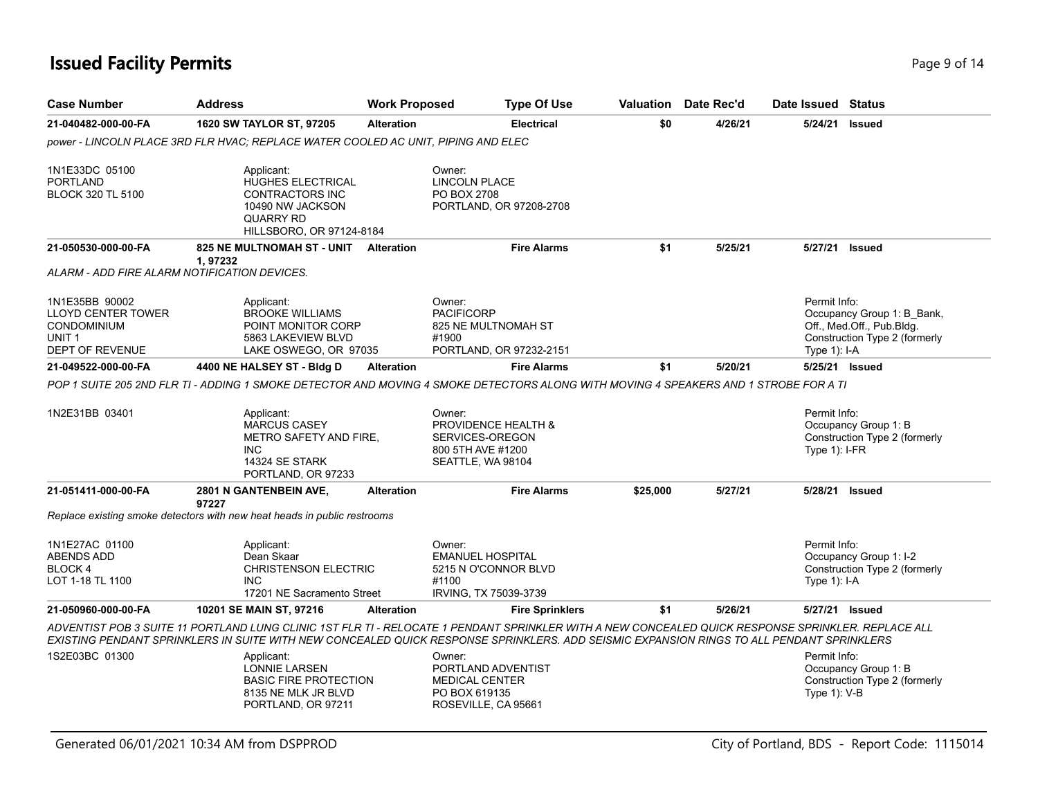## **Issued Facility Permits** Page 14 and 2008 14

| ARSE MUILINGI                                                                                  | Auurcaa                                                                                                                                                                                                                                                                                        | <b>TIOPOSCU</b>   |                                                                                                       | <b>LANG OF ASS</b>     | <b>Valuation</b> | <b>Date IVEC U</b> |         | υαισ ισουσυ                      | olalus                                                                                   |
|------------------------------------------------------------------------------------------------|------------------------------------------------------------------------------------------------------------------------------------------------------------------------------------------------------------------------------------------------------------------------------------------------|-------------------|-------------------------------------------------------------------------------------------------------|------------------------|------------------|--------------------|---------|----------------------------------|------------------------------------------------------------------------------------------|
| 21-040482-000-00-FA                                                                            | <b>1620 SW TAYLOR ST, 97205</b>                                                                                                                                                                                                                                                                | <b>Alteration</b> |                                                                                                       | <b>Electrical</b>      | \$0              |                    | 4/26/21 | 5/24/21 Issued                   |                                                                                          |
|                                                                                                | power - LINCOLN PLACE 3RD FLR HVAC; REPLACE WATER COOLED AC UNIT, PIPING AND ELEC                                                                                                                                                                                                              |                   |                                                                                                       |                        |                  |                    |         |                                  |                                                                                          |
| 1N1E33DC 05100<br><b>PORTLAND</b><br><b>BLOCK 320 TL 5100</b>                                  | Applicant:<br>HUGHES ELECTRICAL<br>CONTRACTORS INC<br>10490 NW JACKSON<br>QUARRY RD<br>HILLSBORO, OR 97124-8184                                                                                                                                                                                |                   | Owner:<br><b>LINCOLN PLACE</b><br>PO BOX 2708<br>PORTLAND, OR 97208-2708                              |                        |                  |                    |         |                                  |                                                                                          |
| 21-050530-000-00-FA                                                                            | 825 NE MULTNOMAH ST - UNIT Alteration<br>1,97232                                                                                                                                                                                                                                               |                   |                                                                                                       | <b>Fire Alarms</b>     | \$1              |                    | 5/25/21 | 5/27/21 Issued                   |                                                                                          |
| ALARM - ADD FIRE ALARM NOTIFICATION DEVICES.                                                   |                                                                                                                                                                                                                                                                                                |                   |                                                                                                       |                        |                  |                    |         |                                  |                                                                                          |
| 1N1E35BB 90002<br><b>LLOYD CENTER TOWER</b><br><b>CONDOMINIUM</b><br>UNIT 1<br>DEPT OF REVENUE | Applicant:<br><b>BROOKE WILLIAMS</b><br>POINT MONITOR CORP<br>5863 LAKEVIEW BLVD<br>LAKE OSWEGO, OR 97035                                                                                                                                                                                      |                   | Owner:<br><b>PACIFICORP</b><br>825 NE MULTNOMAH ST<br>#1900<br>PORTLAND, OR 97232-2151                |                        |                  |                    |         | Permit Info:<br>Type $1$ : I-A   | Occupancy Group 1: B_Bank,<br>Off., Med.Off., Pub.Bldg.<br>Construction Type 2 (formerly |
| 21-049522-000-00-FA                                                                            | 4400 NE HALSEY ST - Bldg D                                                                                                                                                                                                                                                                     | <b>Alteration</b> |                                                                                                       | <b>Fire Alarms</b>     | \$1              |                    | 5/20/21 | 5/25/21 Issued                   |                                                                                          |
| 1N2E31BB 03401                                                                                 | POP 1 SUITE 205 2ND FLR TI - ADDING 1 SMOKE DETECTOR AND MOVING 4 SMOKE DETECTORS ALONG WITH MOVING 4 SPEAKERS AND 1 STROBE FOR A TI<br>Applicant:<br><b>MARCUS CASEY</b><br>METRO SAFETY AND FIRE.<br><b>INC</b><br>14324 SE STARK                                                            |                   | Owner:<br><b>PROVIDENCE HEALTH &amp;</b><br>SERVICES-OREGON<br>800 5TH AVE #1200<br>SEATTLE, WA 98104 |                        |                  |                    |         | Permit Info:<br>Type $1$ ): I-FR | Occupancy Group 1: B<br>Construction Type 2 (formerly                                    |
| 21-051411-000-00-FA                                                                            | PORTLAND, OR 97233<br>2801 N GANTENBEIN AVE,                                                                                                                                                                                                                                                   | <b>Alteration</b> |                                                                                                       | <b>Fire Alarms</b>     | \$25,000         |                    | 5/27/21 | 5/28/21 Issued                   |                                                                                          |
|                                                                                                | 97227<br>Replace existing smoke detectors with new heat heads in public restrooms                                                                                                                                                                                                              |                   |                                                                                                       |                        |                  |                    |         |                                  |                                                                                          |
| 1N1E27AC 01100<br><b>ABENDS ADD</b><br>BLOCK 4<br>LOT 1-18 TL 1100                             | Applicant:<br>Dean Skaar<br><b>CHRISTENSON ELECTRIC</b><br>INC.<br>17201 NE Sacramento Street                                                                                                                                                                                                  |                   | Owner:<br><b>EMANUEL HOSPITAL</b><br>5215 N O'CONNOR BLVD<br>#1100<br>IRVING, TX 75039-3739           |                        |                  |                    |         | Permit Info:<br>Type $1$ : I-A   | Occupancy Group 1: I-2<br>Construction Type 2 (formerly                                  |
| 21-050960-000-00-FA                                                                            | 10201 SE MAIN ST, 97216                                                                                                                                                                                                                                                                        | <b>Alteration</b> |                                                                                                       | <b>Fire Sprinklers</b> | \$1              |                    | 5/26/21 | 5/27/21 Issued                   |                                                                                          |
|                                                                                                | ADVENTIST POB 3 SUITE 11 PORTLAND LUNG CLINIC 1ST FLR TI - RELOCATE 1 PENDANT SPRINKLER WITH A NEW CONCEALED QUICK RESPONSE SPRINKLER. REPLACE ALL<br>EXISTING PENDANT SPRINKLERS IN SUITE WITH NEW CONCEALED QUICK RESPONSE SPRINKLERS. ADD SEISMIC EXPANSION RINGS TO ALL PENDANT SPRINKLERS |                   |                                                                                                       |                        |                  |                    |         |                                  |                                                                                          |
| 1S2E03BC 01300                                                                                 | Applicant:<br>LONNIE LARSEN<br><b>BASIC FIRE PROTECTION</b><br>8135 NE MLK JR BLVD<br>PORTLAND, OR 97211                                                                                                                                                                                       |                   | Owner:<br>PORTLAND ADVENTIST<br><b>MEDICAL CENTER</b><br>PO BOX 619135<br>ROSEVILLE, CA 95661         |                        |                  |                    |         | Permit Info:<br>Type 1): V-B     | Occupancy Group 1: B<br>Construction Type 2 (formerly                                    |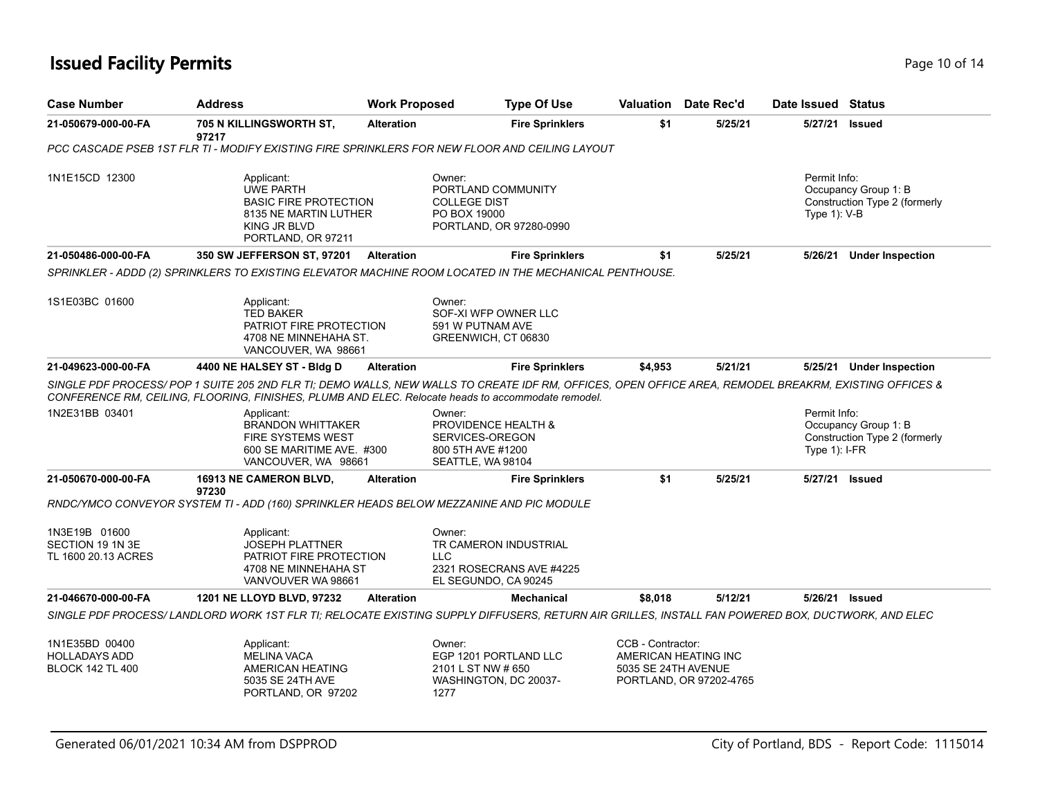## **Issued Facility Permits** Page 10 of 14

| <b>Case Number</b>                                                | <b>Address</b>                                                                                                                | <b>Work Proposed</b> | <b>Type Of Use</b>                                                                                                                                                                                                                                          |                                          | Valuation Date Rec'd                            | Date Issued Status              |                                                       |
|-------------------------------------------------------------------|-------------------------------------------------------------------------------------------------------------------------------|----------------------|-------------------------------------------------------------------------------------------------------------------------------------------------------------------------------------------------------------------------------------------------------------|------------------------------------------|-------------------------------------------------|---------------------------------|-------------------------------------------------------|
| 21-050679-000-00-FA                                               | 705 N KILLINGSWORTH ST,<br>97217                                                                                              | <b>Alteration</b>    | <b>Fire Sprinklers</b>                                                                                                                                                                                                                                      | \$1                                      | 5/25/21                                         | 5/27/21                         | <b>Issued</b>                                         |
|                                                                   |                                                                                                                               |                      | PCC CASCADE PSEB 1ST FLR TI - MODIFY EXISTING FIRE SPRINKLERS FOR NEW FLOOR AND CEILING LAYOUT                                                                                                                                                              |                                          |                                                 |                                 |                                                       |
| 1N1E15CD 12300                                                    | Applicant:<br><b>UWE PARTH</b><br><b>BASIC FIRE PROTECTION</b><br>8135 NE MARTIN LUTHER<br>KING JR BLVD<br>PORTLAND, OR 97211 |                      | Owner:<br>PORTLAND COMMUNITY<br><b>COLLEGE DIST</b><br>PO BOX 19000<br>PORTLAND, OR 97280-0990                                                                                                                                                              |                                          |                                                 | Permit Info:<br>Type $1$ : V-B  | Occupancy Group 1: B<br>Construction Type 2 (formerly |
| 21-050486-000-00-FA                                               | 350 SW JEFFERSON ST, 97201                                                                                                    | <b>Alteration</b>    | <b>Fire Sprinklers</b>                                                                                                                                                                                                                                      | \$1                                      | 5/25/21                                         |                                 | 5/26/21 Under Inspection                              |
|                                                                   |                                                                                                                               |                      | SPRINKLER - ADDD (2) SPRINKLERS TO EXISTING ELEVATOR MACHINE ROOM LOCATED IN THE MECHANICAL PENTHOUSE.                                                                                                                                                      |                                          |                                                 |                                 |                                                       |
| 1S1E03BC 01600                                                    | Applicant:<br><b>TED BAKER</b><br>PATRIOT FIRE PROTECTION<br>4708 NE MINNEHAHA ST.<br>VANCOUVER, WA 98661                     |                      | Owner:<br>SOF-XI WFP OWNER LLC<br>591 W PUTNAM AVE<br>GREENWICH, CT 06830                                                                                                                                                                                   |                                          |                                                 |                                 |                                                       |
| 21-049623-000-00-FA                                               | 4400 NE HALSEY ST - Bldg D                                                                                                    | <b>Alteration</b>    | <b>Fire Sprinklers</b>                                                                                                                                                                                                                                      | \$4,953                                  | 5/21/21                                         |                                 | 5/25/21 Under Inspection                              |
|                                                                   |                                                                                                                               |                      | SINGLE PDF PROCESS/POP 1 SUITE 205 2ND FLR TI; DEMO WALLS, NEW WALLS TO CREATE IDF RM, OFFICES, OPEN OFFICE AREA, REMODEL BREAKRM, EXISTING OFFICES &<br>CONFERENCE RM, CEILING, FLOORING, FINISHES, PLUMB AND ELEC. Relocate heads to accommodate remodel. |                                          |                                                 |                                 |                                                       |
| 1N2E31BB 03401                                                    | Applicant:<br><b>BRANDON WHITTAKER</b><br><b>FIRE SYSTEMS WEST</b><br>600 SE MARITIME AVE. #300<br>VANCOUVER, WA 98661        |                      | Owner:<br>PROVIDENCE HEALTH &<br>SERVICES-OREGON<br>800 5TH AVE #1200<br>SEATTLE, WA 98104                                                                                                                                                                  |                                          |                                                 | Permit Info:<br>Type $1$ : I-FR | Occupancy Group 1: B<br>Construction Type 2 (formerly |
| 21-050670-000-00-FA                                               | 16913 NE CAMERON BLVD,<br>97230                                                                                               | <b>Alteration</b>    | <b>Fire Sprinklers</b>                                                                                                                                                                                                                                      | \$1                                      | 5/25/21                                         | 5/27/21                         | <b>Issued</b>                                         |
|                                                                   | RNDC/YMCO CONVEYOR SYSTEM TI - ADD (160) SPRINKLER HEADS BELOW MEZZANINE AND PIC MODULE                                       |                      |                                                                                                                                                                                                                                                             |                                          |                                                 |                                 |                                                       |
| 1N3E19B 01600<br>SECTION 19 1N 3E<br>TL 1600 20.13 ACRES          | Applicant:<br><b>JOSEPH PLATTNER</b><br>PATRIOT FIRE PROTECTION<br>4708 NE MINNEHAHA ST<br>VANVOUVER WA 98661                 |                      | Owner:<br>TR CAMERON INDUSTRIAL<br><b>LLC</b><br>2321 ROSECRANS AVE #4225<br>EL SEGUNDO, CA 90245                                                                                                                                                           |                                          |                                                 |                                 |                                                       |
| 21-046670-000-00-FA                                               | 1201 NE LLOYD BLVD, 97232                                                                                                     | <b>Alteration</b>    | <b>Mechanical</b>                                                                                                                                                                                                                                           | \$8,018                                  | 5/12/21                                         | 5/26/21                         | Issued                                                |
|                                                                   |                                                                                                                               |                      | SINGLE PDF PROCESS/ LANDLORD WORK 1ST FLR TI; RELOCATE EXISTING SUPPLY DIFFUSERS, RETURN AIR GRILLES, INSTALL FAN POWERED BOX, DUCTWORK, AND ELEC                                                                                                           |                                          |                                                 |                                 |                                                       |
| 1N1E35BD 00400<br><b>HOLLADAYS ADD</b><br><b>BLOCK 142 TL 400</b> | Applicant:<br><b>MELINA VACA</b><br>AMERICAN HEATING<br>5035 SE 24TH AVE<br>PORTLAND, OR 97202                                |                      | Owner:<br>EGP 1201 PORTLAND LLC<br>2101 L ST NW # 650<br>WASHINGTON, DC 20037-<br>1277                                                                                                                                                                      | CCB - Contractor:<br>5035 SE 24TH AVENUE | AMERICAN HEATING INC<br>PORTLAND, OR 97202-4765 |                                 |                                                       |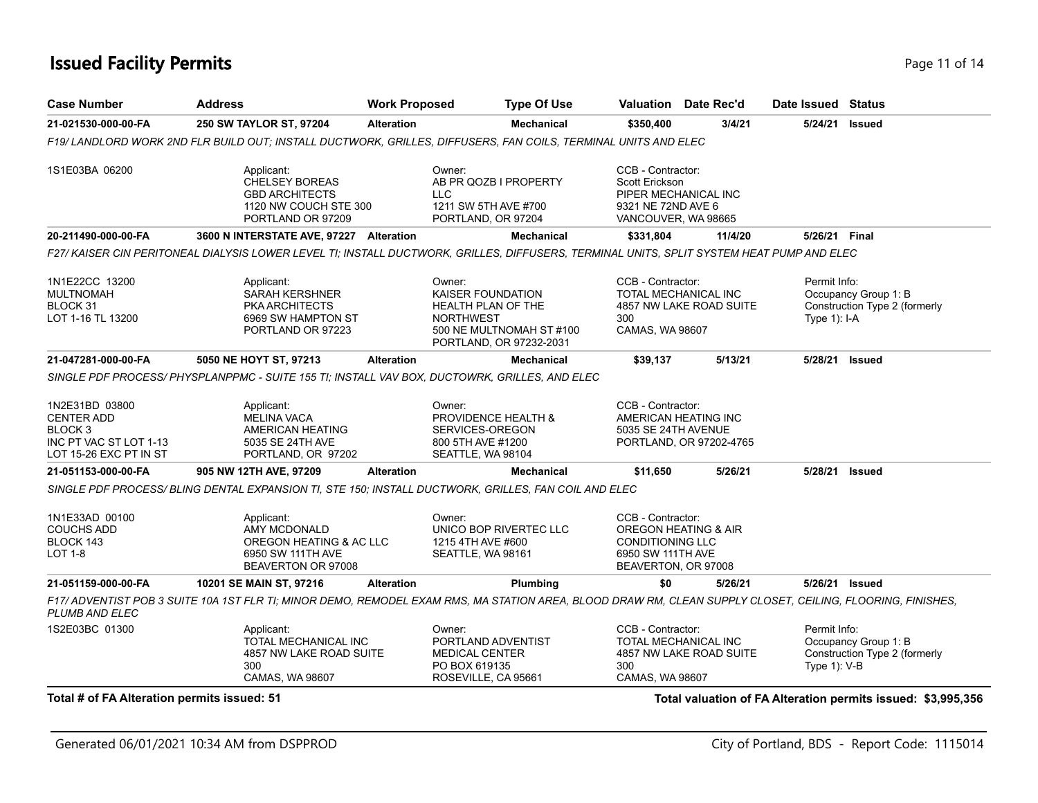## **Issued Facility Permits** Page 11 of 14

| <b>Case Number</b>                                                                                            | <b>Address</b>                                                                                                                                             | <b>Work Proposed</b> |                                                                                                                              | <b>Type Of Use</b> |                                                                                          | Valuation Date Rec'd                            | Date Issued Status              |                                                              |
|---------------------------------------------------------------------------------------------------------------|------------------------------------------------------------------------------------------------------------------------------------------------------------|----------------------|------------------------------------------------------------------------------------------------------------------------------|--------------------|------------------------------------------------------------------------------------------|-------------------------------------------------|---------------------------------|--------------------------------------------------------------|
| 21-021530-000-00-FA                                                                                           | 250 SW TAYLOR ST, 97204                                                                                                                                    | <b>Alteration</b>    |                                                                                                                              | <b>Mechanical</b>  | \$350,400                                                                                | 3/4/21                                          | 5/24/21                         | Issued                                                       |
|                                                                                                               | F19/LANDLORD WORK 2ND FLR BUILD OUT; INSTALL DUCTWORK, GRILLES, DIFFUSERS, FAN COILS, TERMINAL UNITS AND ELEC                                              |                      |                                                                                                                              |                    |                                                                                          |                                                 |                                 |                                                              |
| 1S1E03BA 06200                                                                                                | Applicant:<br><b>CHELSEY BOREAS</b><br><b>GBD ARCHITECTS</b><br>1120 NW COUCH STE 300<br>PORTLAND OR 97209                                                 |                      | Owner:<br>AB PR QOZB I PROPERTY<br><b>LLC</b><br>1211 SW 5TH AVE #700<br>PORTLAND, OR 97204                                  |                    | CCB - Contractor:<br>Scott Erickson<br>9321 NE 72ND AVE 6<br>VANCOUVER, WA 98665         | PIPER MECHANICAL INC                            |                                 |                                                              |
| 20-211490-000-00-FA                                                                                           | 3600 N INTERSTATE AVE, 97227 Alteration                                                                                                                    |                      |                                                                                                                              | <b>Mechanical</b>  | \$331,804                                                                                | 11/4/20                                         | 5/26/21 Final                   |                                                              |
|                                                                                                               | F27/KAISER CIN PERITONEAL DIALYSIS LOWER LEVEL TI; INSTALL DUCTWORK, GRILLES, DIFFUSERS, TERMINAL UNITS, SPLIT SYSTEM HEAT PUMP AND ELEC                   |                      |                                                                                                                              |                    |                                                                                          |                                                 |                                 |                                                              |
| 1N1E22CC 13200<br><b>MULTNOMAH</b><br>BLOCK 31<br>LOT 1-16 TL 13200                                           | Applicant:<br><b>SARAH KERSHNER</b><br><b>PKA ARCHITECTS</b><br>6969 SW HAMPTON ST<br>PORTLAND OR 97223                                                    |                      | Owner:<br>KAISER FOUNDATION<br>HEALTH PLAN OF THE<br><b>NORTHWEST</b><br>500 NE MULTNOMAH ST #100<br>PORTLAND, OR 97232-2031 |                    | CCB - Contractor:<br>300<br>CAMAS, WA 98607                                              | TOTAL MECHANICAL INC<br>4857 NW LAKE ROAD SUITE | Permit Info:<br>Type $1$ : I-A  | Occupancy Group 1: B<br>Construction Type 2 (formerly        |
| 21-047281-000-00-FA                                                                                           | 5050 NE HOYT ST, 97213                                                                                                                                     | <b>Alteration</b>    |                                                                                                                              | <b>Mechanical</b>  | \$39,137                                                                                 | 5/13/21                                         |                                 | 5/28/21 Issued                                               |
|                                                                                                               | SINGLE PDF PROCESS/ PHYSPLANPPMC - SUITE 155 TI; INSTALL VAV BOX, DUCTOWRK, GRILLES, AND ELEC                                                              |                      |                                                                                                                              |                    |                                                                                          |                                                 |                                 |                                                              |
| 1N2E31BD 03800<br><b>CENTER ADD</b><br>BLOCK <sub>3</sub><br>INC PT VAC ST LOT 1-13<br>LOT 15-26 EXC PT IN ST | Applicant:<br><b>MELINA VACA</b><br>AMERICAN HEATING<br>5035 SE 24TH AVE<br>PORTLAND, OR 97202                                                             |                      | Owner:<br><b>PROVIDENCE HEALTH &amp;</b><br>SERVICES-OREGON<br>800 5TH AVE #1200<br>SEATTLE, WA 98104                        |                    | CCB - Contractor:<br>5035 SE 24TH AVENUE                                                 | AMERICAN HEATING INC<br>PORTLAND, OR 97202-4765 |                                 |                                                              |
| 21-051153-000-00-FA                                                                                           | 905 NW 12TH AVE, 97209                                                                                                                                     | <b>Alteration</b>    |                                                                                                                              | Mechanical         | \$11,650                                                                                 | 5/26/21                                         | 5/28/21                         | <b>Issued</b>                                                |
|                                                                                                               | SINGLE PDF PROCESS/BLING DENTAL EXPANSION TI, STE 150; INSTALL DUCTWORK, GRILLES, FAN COIL AND ELEC                                                        |                      |                                                                                                                              |                    |                                                                                          |                                                 |                                 |                                                              |
| 1N1E33AD 00100<br><b>COUCHS ADD</b><br>BLOCK 143<br><b>LOT 1-8</b>                                            | Applicant:<br>AMY MCDONALD<br>OREGON HEATING & AC LLC<br>6950 SW 111TH AVE<br>BEAVERTON OR 97008                                                           |                      | Owner:<br>UNICO BOP RIVERTEC LLC<br>1215 4TH AVE #600<br>SEATTLE, WA 98161                                                   |                    | CCB - Contractor:<br><b>CONDITIONING LLC</b><br>6950 SW 111TH AVE<br>BEAVERTON, OR 97008 | OREGON HEATING & AIR                            |                                 |                                                              |
| 21-051159-000-00-FA                                                                                           | 10201 SE MAIN ST, 97216                                                                                                                                    | <b>Alteration</b>    |                                                                                                                              | Plumbing           | \$0                                                                                      | 5/26/21                                         |                                 | 5/26/21 Issued                                               |
| <b>PLUMB AND ELEC</b>                                                                                         | F17/ ADVENTIST POB 3 SUITE 10A 1ST FLR TI; MINOR DEMO, REMODEL EXAM RMS, MA STATION AREA, BLOOD DRAW RM, CLEAN SUPPLY CLOSET, CEILING, FLOORING, FINISHES, |                      |                                                                                                                              |                    |                                                                                          |                                                 |                                 |                                                              |
| 1S2E03BC 01300                                                                                                | Applicant:<br>TOTAL MECHANICAL INC<br>4857 NW LAKE ROAD SUITE<br>300<br>CAMAS, WA 98607                                                                    |                      | Owner:<br>PORTLAND ADVENTIST<br><b>MEDICAL CENTER</b><br>PO BOX 619135<br>ROSEVILLE, CA 95661                                |                    | CCB - Contractor:<br>300<br>CAMAS, WA 98607                                              | TOTAL MECHANICAL INC<br>4857 NW LAKE ROAD SUITE | Permit Info:<br>Type $1$ ): V-B | Occupancy Group 1: B<br>Construction Type 2 (formerly        |
| Total # of FA Alteration permits issued: 51                                                                   |                                                                                                                                                            |                      |                                                                                                                              |                    |                                                                                          |                                                 |                                 | Total valuation of FA Alteration permits issued: \$3,995,356 |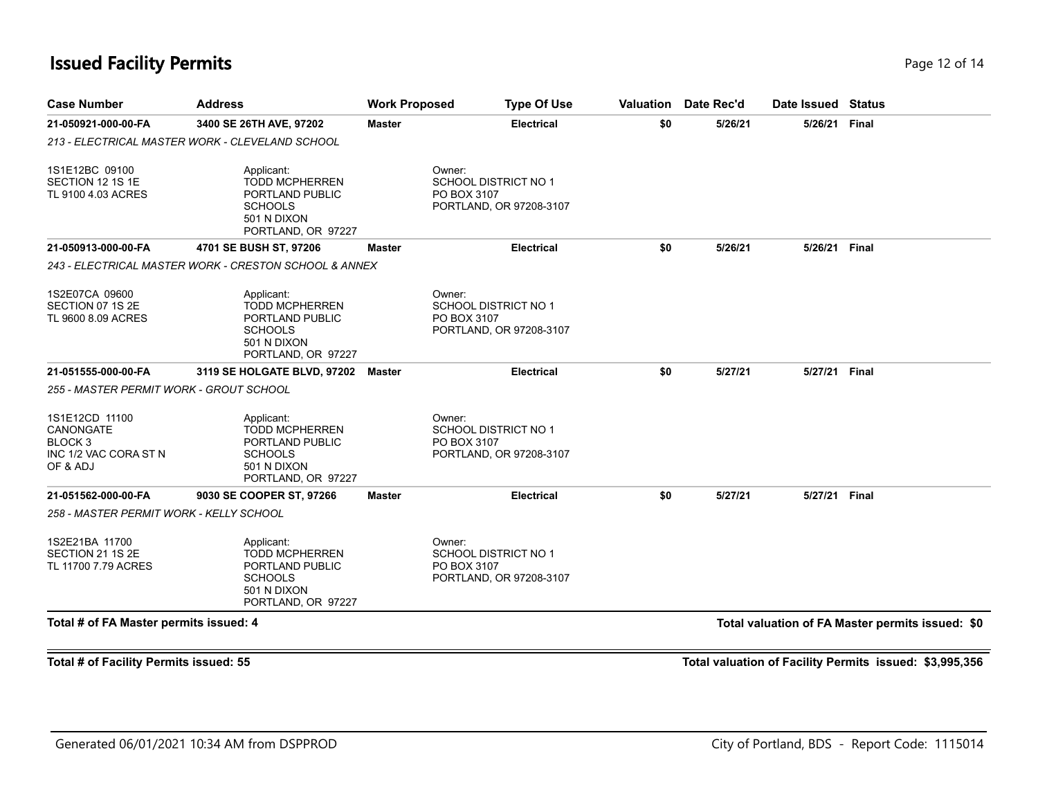## **Issued Facility Permits** Page 12 of 14

| <b>Case Number</b>                                                                     | <b>Address</b>                                                                                                | <b>Work Proposed</b> | <b>Type Of Use</b>                                                              | Valuation | Date Rec'd | Date Issued Status |                                                  |
|----------------------------------------------------------------------------------------|---------------------------------------------------------------------------------------------------------------|----------------------|---------------------------------------------------------------------------------|-----------|------------|--------------------|--------------------------------------------------|
| 21-050921-000-00-FA                                                                    | 3400 SE 26TH AVE, 97202                                                                                       | Master               | <b>Electrical</b>                                                               | \$0       | 5/26/21    | 5/26/21 Final      |                                                  |
|                                                                                        | 213 - ELECTRICAL MASTER WORK - CLEVELAND SCHOOL                                                               |                      |                                                                                 |           |            |                    |                                                  |
| 1S1E12BC 09100<br>SECTION 12 1S 1E<br>TL 9100 4.03 ACRES                               | Applicant:<br><b>TODD MCPHERREN</b><br>PORTLAND PUBLIC<br><b>SCHOOLS</b><br>501 N DIXON<br>PORTLAND, OR 97227 |                      | Owner:<br><b>SCHOOL DISTRICT NO 1</b><br>PO BOX 3107<br>PORTLAND, OR 97208-3107 |           |            |                    |                                                  |
| 21-050913-000-00-FA                                                                    | 4701 SE BUSH ST, 97206                                                                                        | <b>Master</b>        | <b>Electrical</b>                                                               | \$0       | 5/26/21    | 5/26/21 Final      |                                                  |
|                                                                                        | 243 - ELECTRICAL MASTER WORK - CRESTON SCHOOL & ANNEX                                                         |                      |                                                                                 |           |            |                    |                                                  |
| 1S2E07CA 09600<br>SECTION 07 1S 2E<br>TL 9600 8.09 ACRES                               | Applicant:<br><b>TODD MCPHERREN</b><br>PORTLAND PUBLIC<br><b>SCHOOLS</b><br>501 N DIXON<br>PORTLAND, OR 97227 |                      | Owner:<br><b>SCHOOL DISTRICT NO 1</b><br>PO BOX 3107<br>PORTLAND, OR 97208-3107 |           |            |                    |                                                  |
| 21-051555-000-00-FA                                                                    | 3119 SE HOLGATE BLVD, 97202                                                                                   | <b>Master</b>        | <b>Electrical</b>                                                               | \$0       | 5/27/21    | 5/27/21            | <b>Final</b>                                     |
| 255 - MASTER PERMIT WORK - GROUT SCHOOL                                                |                                                                                                               |                      |                                                                                 |           |            |                    |                                                  |
| 1S1E12CD 11100<br>CANONGATE<br>BLOCK <sub>3</sub><br>INC 1/2 VAC CORA ST N<br>OF & ADJ | Applicant:<br><b>TODD MCPHERREN</b><br>PORTLAND PUBLIC<br><b>SCHOOLS</b><br>501 N DIXON<br>PORTLAND, OR 97227 |                      | Owner:<br><b>SCHOOL DISTRICT NO 1</b><br>PO BOX 3107<br>PORTLAND, OR 97208-3107 |           |            |                    |                                                  |
| 21-051562-000-00-FA                                                                    | 9030 SE COOPER ST, 97266                                                                                      | <b>Master</b>        | <b>Electrical</b>                                                               | \$0       | 5/27/21    | 5/27/21 Final      |                                                  |
| 258 - MASTER PERMIT WORK - KELLY SCHOOL                                                |                                                                                                               |                      |                                                                                 |           |            |                    |                                                  |
| 1S2E21BA 11700<br>SECTION 21 1S 2E<br>TL 11700 7.79 ACRES                              | Applicant:<br><b>TODD MCPHERREN</b><br>PORTLAND PUBLIC<br><b>SCHOOLS</b><br>501 N DIXON<br>PORTLAND, OR 97227 |                      | Owner:<br><b>SCHOOL DISTRICT NO 1</b><br>PO BOX 3107<br>PORTLAND, OR 97208-3107 |           |            |                    |                                                  |
| Total # of FA Master permits issued: 4                                                 |                                                                                                               |                      |                                                                                 |           |            |                    | Total valuation of FA Master permits issued: \$0 |

**Total # of Facility Permits issued: 55 Total valuation of Facility Permits issued: \$3,995,356**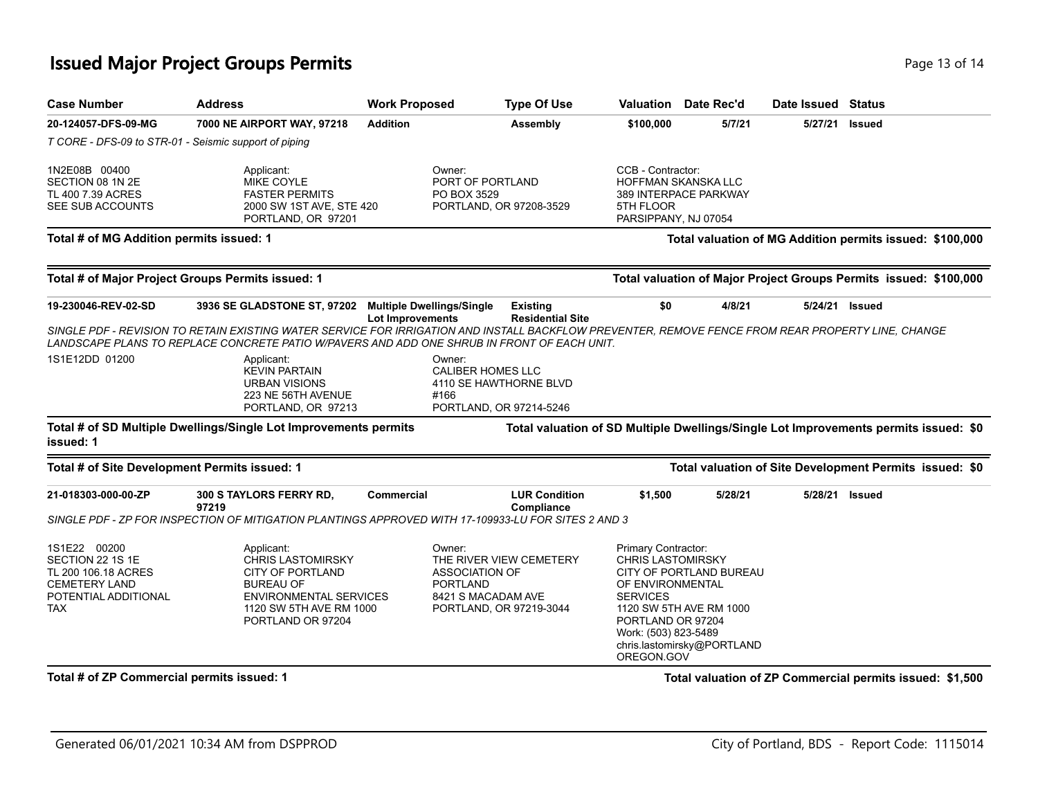## **Issued Major Project Groups Permits Page 13 of 14 Page 13 of 14**

| <b>Case Number</b>                                                                                                    | <b>Address</b>                                                                                                                                                                                                                                                                                             | <b>Work Proposed</b>      | <b>Type Of Use</b>                                                                         | Valuation                                                                                                                                         | Date Rec'd                                                                                       | Date Issued | <b>Status</b>                                                                        |
|-----------------------------------------------------------------------------------------------------------------------|------------------------------------------------------------------------------------------------------------------------------------------------------------------------------------------------------------------------------------------------------------------------------------------------------------|---------------------------|--------------------------------------------------------------------------------------------|---------------------------------------------------------------------------------------------------------------------------------------------------|--------------------------------------------------------------------------------------------------|-------------|--------------------------------------------------------------------------------------|
| 20-124057-DFS-09-MG                                                                                                   | 7000 NE AIRPORT WAY, 97218                                                                                                                                                                                                                                                                                 | <b>Addition</b>           | <b>Assembly</b>                                                                            | \$100,000                                                                                                                                         | 5/7/21                                                                                           | 5/27/21     | <b>Issued</b>                                                                        |
| T CORE - DFS-09 to STR-01 - Seismic support of piping                                                                 |                                                                                                                                                                                                                                                                                                            |                           |                                                                                            |                                                                                                                                                   |                                                                                                  |             |                                                                                      |
| 1N2E08B 00400<br>SECTION 08 1N 2E<br>TL 400 7.39 ACRES<br>SEE SUB ACCOUNTS                                            | Applicant:<br><b>MIKE COYLE</b><br><b>FASTER PERMITS</b><br>2000 SW 1ST AVE, STE 420<br>PORTLAND, OR 97201                                                                                                                                                                                                 |                           | Owner:<br>PORT OF PORTLAND<br>PO BOX 3529<br>PORTLAND, OR 97208-3529                       |                                                                                                                                                   | CCB - Contractor:<br><b>HOFFMAN SKANSKA LLC</b><br>389 INTERPACE PARKWAY<br>PARSIPPANY, NJ 07054 |             |                                                                                      |
| Total # of MG Addition permits issued: 1                                                                              |                                                                                                                                                                                                                                                                                                            |                           |                                                                                            |                                                                                                                                                   |                                                                                                  |             | Total valuation of MG Addition permits issued: \$100,000                             |
|                                                                                                                       | Total # of Major Project Groups Permits issued: 1                                                                                                                                                                                                                                                          |                           |                                                                                            |                                                                                                                                                   |                                                                                                  |             | Total valuation of Major Project Groups Permits issued: \$100,000                    |
| 19-230046-REV-02-SD                                                                                                   | 3936 SE GLADSTONE ST, 97202 Multiple Dwellings/Single<br>SINGLE PDF - REVISION TO RETAIN EXISTING WATER SERVICE FOR IRRIGATION AND INSTALL BACKFLOW PREVENTER, REMOVE FENCE FROM REAR PROPERTY LINE, CHANGE<br>LANDSCAPE PLANS TO REPLACE CONCRETE PATIO W/PAVERS AND ADD ONE SHRUB IN FRONT OF EACH UNIT. | <b>Lot Improvements</b>   | <b>Existing</b><br><b>Residential Site</b>                                                 | \$0                                                                                                                                               | 4/8/21                                                                                           |             | 5/24/21 Issued                                                                       |
| 1S1E12DD 01200                                                                                                        | Applicant:<br><b>KEVIN PARTAIN</b><br><b>URBAN VISIONS</b><br>223 NE 56TH AVENUE<br>PORTLAND, OR 97213                                                                                                                                                                                                     | Owner:<br>#166            | <b>CALIBER HOMES LLC</b><br>4110 SE HAWTHORNE BLVD<br>PORTLAND, OR 97214-5246              |                                                                                                                                                   |                                                                                                  |             |                                                                                      |
| issued: 1                                                                                                             | Total # of SD Multiple Dwellings/Single Lot Improvements permits                                                                                                                                                                                                                                           |                           |                                                                                            |                                                                                                                                                   |                                                                                                  |             | Total valuation of SD Multiple Dwellings/Single Lot Improvements permits issued: \$0 |
| Total # of Site Development Permits issued: 1                                                                         |                                                                                                                                                                                                                                                                                                            |                           |                                                                                            |                                                                                                                                                   |                                                                                                  |             | Total valuation of Site Development Permits issued: \$0                              |
| 21-018303-000-00-ZP                                                                                                   | <b>300 S TAYLORS FERRY RD,</b><br>97219<br>SINGLE PDF - ZP FOR INSPECTION OF MITIGATION PLANTINGS APPROVED WITH 17-109933-LU FOR SITES 2 AND 3                                                                                                                                                             | Commercial                | <b>LUR Condition</b><br>Compliance                                                         | \$1,500                                                                                                                                           | 5/28/21                                                                                          | 5/28/21     | <b>Issued</b>                                                                        |
| 1S1E22 00200<br>SECTION 22 1S 1E<br>TL 200 106.18 ACRES<br><b>CEMETERY LAND</b><br>POTENTIAL ADDITIONAL<br><b>TAX</b> | Applicant:<br><b>CHRIS LASTOMIRSKY</b><br>CITY OF PORTLAND<br>BUREAU OF<br>ENVIRONMENTAL SERVICES<br>1120 SW 5TH AVE RM 1000<br>PORTLAND OR 97204                                                                                                                                                          | Owner:<br><b>PORTLAND</b> | THE RIVER VIEW CEMETERY<br>ASSOCIATION OF<br>8421 S MACADAM AVE<br>PORTLAND, OR 97219-3044 | Primary Contractor:<br><b>CHRIS LASTOMIRSKY</b><br>OF ENVIRONMENTAL<br><b>SERVICES</b><br>PORTLAND OR 97204<br>Work: (503) 823-5489<br>OREGON.GOV | CITY OF PORTLAND BUREAU<br>1120 SW 5TH AVE RM 1000<br>chris.lastomirsky@PORTLAND                 |             |                                                                                      |
| Total # of ZP Commercial permits issued: 1                                                                            |                                                                                                                                                                                                                                                                                                            |                           |                                                                                            |                                                                                                                                                   |                                                                                                  |             | Total valuation of ZP Commercial permits issued: \$1,500                             |